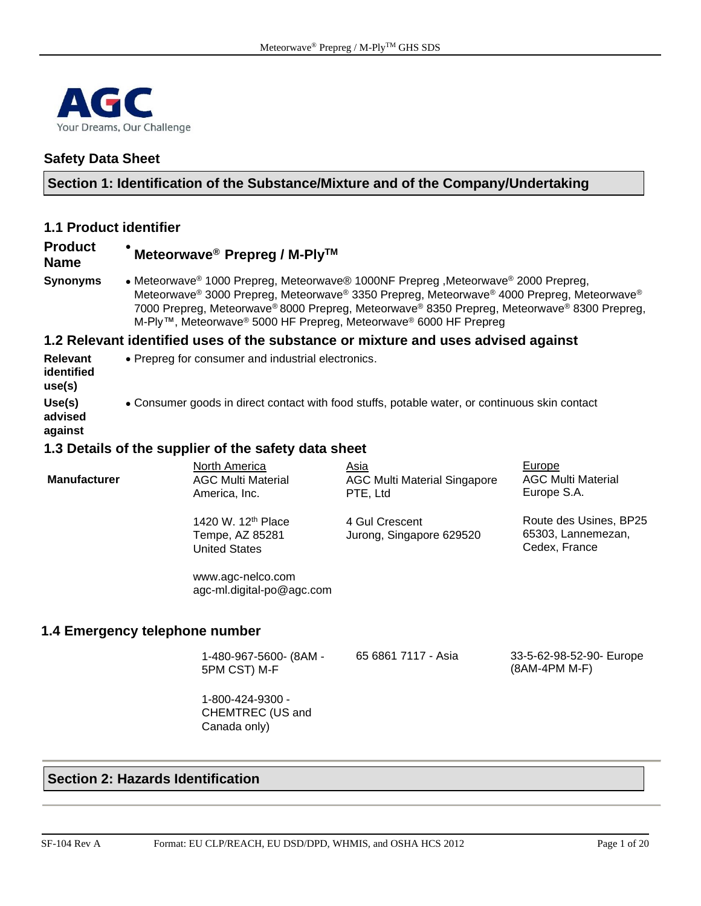

#### **Safety Data Sheet**

#### **Section 1: Identification of the Substance/Mixture and of the Company/Undertaking**

#### **1.1 Product identifier**

#### **Product**  • **Meteorwave® Prepreg / M-PlyTM**

#### **Name**

**Synonyms** • Meteorwave® 1000 Prepreg, Meteorwave® 1000NF Prepreg ,Meteorwave® 2000 Prepreg, Meteorwave® 3000 Prepreg, Meteorwave® 3350 Prepreg, Meteorwave® 4000 Prepreg, Meteorwave® 7000 Prepreg, Meteorwave® 8000 Prepreg, Meteorwave® 8350 Prepreg, Meteorwave® 8300 Prepreg, M-Ply™, Meteorwave® 5000 HF Prepreg, Meteorwave® 6000 HF Prepreg

#### **1.2 Relevant identified uses of the substance or mixture and uses advised against**

- **Relevant identified use(s)** • Prepreg for consumer and industrial electronics.
- **Use(s)**
- **advised**  • Consumer goods in direct contact with food stuffs, potable water, or continuous skin contact

**against**

#### **1.3 Details of the supplier of the safety data sheet**

| <b>Manufacturer</b>            | North America<br><b>AGC Multi Material</b><br>America, Inc.               | Asia<br><b>AGC Multi Material Singapore</b><br>PTE, Ltd | Europe<br><b>AGC Multi Material</b><br>Europe S.A.            |
|--------------------------------|---------------------------------------------------------------------------|---------------------------------------------------------|---------------------------------------------------------------|
|                                | 1420 W. 12 <sup>th</sup> Place<br>Tempe, AZ 85281<br><b>United States</b> | 4 Gul Crescent<br>Jurong, Singapore 629520              | Route des Usines, BP25<br>65303, Lannemezan,<br>Cedex, France |
|                                | www.agc-nelco.com<br>agc-ml.digital-po@agc.com                            |                                                         |                                                               |
| 1.4 Emergency telephone number |                                                                           |                                                         |                                                               |
|                                | 1-480-967-5600- (8AM -<br>5PM CST) M-F                                    | 65 6861 7117 - Asia                                     | 33-5-62-98-52-90- Europe<br>(8AM-4PM M-F)                     |

1-800-424-9300 - CHEMTREC (US and Canada only)

#### **Section 2: Hazards Identification**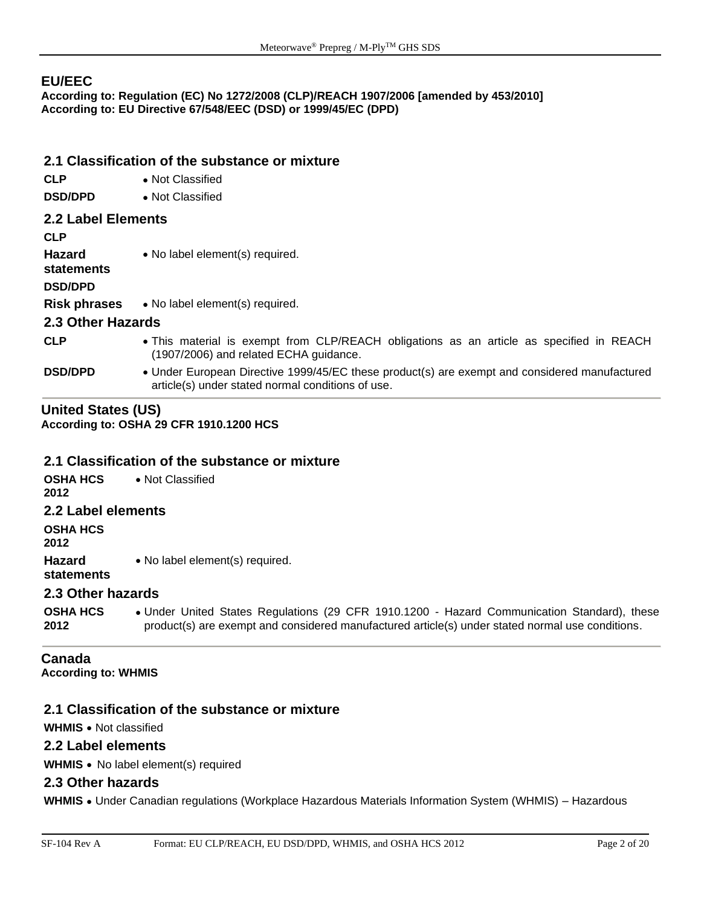#### **EU/EEC**

**According to: Regulation (EC) No 1272/2008 (CLP)/REACH 1907/2006 [amended by 453/2010] According to: EU Directive 67/548/EEC (DSD) or 1999/45/EC (DPD)** 

#### **2.1 Classification of the substance or mixture**

- **CLP** Not Classified
- **DSD/DPD** Not Classified

#### **2.2 Label Elements**

**CLP**

**Hazard**  • No label element(s) required.

**statements**

**DSD/DPD**

**Risk phrases** • No label element(s) required.

#### **2.3 Other Hazards**

- **CLP** This material is exempt from CLP/REACH obligations as an article as specified in REACH (1907/2006) and related ECHA guidance.
- **DSD/DPD** Under European Directive 1999/45/EC these product(s) are exempt and considered manufactured article(s) under stated normal conditions of use.

#### **United States (US) According to: OSHA 29 CFR 1910.1200 HCS**

#### **2.1 Classification of the substance or mixture**

**OSHA HCS 2012** • Not Classified **2.2 Label elements OSHA HCS 2012 Hazard statements** • No label element(s) required. **2.3 Other hazards**

**OSHA HCS 2012** • Under United States Regulations (29 CFR 1910.1200 - Hazard Communication Standard), these product(s) are exempt and considered manufactured article(s) under stated normal use conditions.

# **Canada**

**According to: WHMIS** 

#### **2.1 Classification of the substance or mixture**

**WHMIS** • Not classified

#### **2.2 Label elements**

**WHMIS** • No label element(s) required

#### **2.3 Other hazards**

**WHMIS** • Under Canadian regulations (Workplace Hazardous Materials Information System (WHMIS) – Hazardous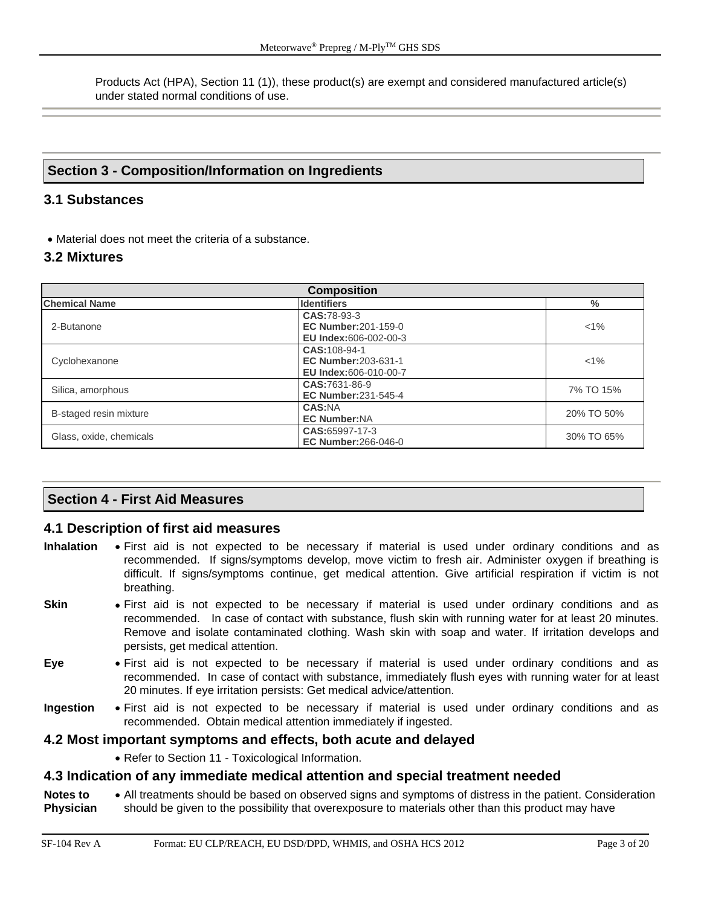Products Act (HPA), Section 11 (1)), these product(s) are exempt and considered manufactured article(s) under stated normal conditions of use.

#### **Section 3 - Composition/Information on Ingredients**

#### **3.1 Substances**

• Material does not meet the criteria of a substance.

#### **3.2 Mixtures**

| <b>Composition</b>      |                                                                           |               |  |
|-------------------------|---------------------------------------------------------------------------|---------------|--|
| <b>Chemical Name</b>    | <b>Identifiers</b>                                                        | $\frac{0}{0}$ |  |
| 2-Butanone              | CAS:78-93-3<br><b>EC Number:201-159-0</b><br><b>EU Index:606-002-00-3</b> | $< 1\%$       |  |
| Cyclohexanone           | CAS:108-94-1<br><b>EC Number: 203-631-1</b><br>EU Index:606-010-00-7      | $< 1\%$       |  |
| Silica, amorphous       | CAS:7631-86-9<br><b>EC Number:231-545-4</b>                               | 7% TO 15%     |  |
| B-staged resin mixture  | <b>CAS:NA</b><br><b>EC Number:NA</b>                                      | 20% TO 50%    |  |
| Glass, oxide, chemicals | CAS:65997-17-3<br><b>EC Number:266-046-0</b>                              | 30% TO 65%    |  |

#### **Section 4 - First Aid Measures**

#### **4.1 Description of first aid measures**

- **Inhalation** First aid is not expected to be necessary if material is used under ordinary conditions and as recommended. If signs/symptoms develop, move victim to fresh air. Administer oxygen if breathing is difficult. If signs/symptoms continue, get medical attention. Give artificial respiration if victim is not breathing.
- **Skin** First aid is not expected to be necessary if material is used under ordinary conditions and as recommended. In case of contact with substance, flush skin with running water for at least 20 minutes. Remove and isolate contaminated clothing. Wash skin with soap and water. If irritation develops and persists, get medical attention.
- **Eye** First aid is not expected to be necessary if material is used under ordinary conditions and as recommended. In case of contact with substance, immediately flush eyes with running water for at least 20 minutes. If eye irritation persists: Get medical advice/attention.
- **Ingestion** First aid is not expected to be necessary if material is used under ordinary conditions and as recommended. Obtain medical attention immediately if ingested.

#### **4.2 Most important symptoms and effects, both acute and delayed**

• Refer to Section 11 - Toxicological Information.

#### **4.3 Indication of any immediate medical attention and special treatment needed**

**Notes to Physician** • All treatments should be based on observed signs and symptoms of distress in the patient. Consideration should be given to the possibility that overexposure to materials other than this product may have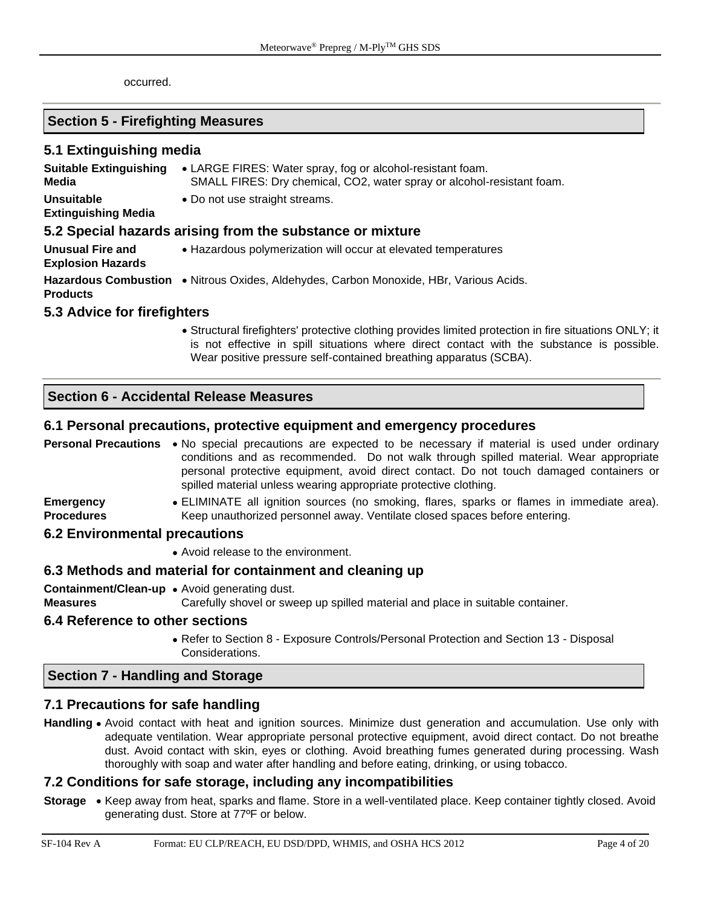occurred.

#### **Section 5 - Firefighting Measures**

#### **5.1 Extinguishing media**

| <b>Suitable Extinguishing</b><br>Media              | • LARGE FIRES: Water spray, fog or alcohol-resistant foam.<br>SMALL FIRES: Dry chemical, CO2, water spray or alcohol-resistant foam. |
|-----------------------------------------------------|--------------------------------------------------------------------------------------------------------------------------------------|
| <b>Unsuitable</b><br><b>Extinguishing Media</b>     | • Do not use straight streams.                                                                                                       |
|                                                     | 5.2 Special hazards arising from the substance or mixture                                                                            |
| <b>Unusual Fire and</b><br><b>Explosion Hazards</b> | • Hazardous polymerization will occur at elevated temperatures                                                                       |

**Hazardous Combustion**  • Nitrous Oxides, Aldehydes, Carbon Monoxide, HBr, Various Acids. **Products**

#### **5.3 Advice for firefighters**

• Structural firefighters' protective clothing provides limited protection in fire situations ONLY; it is not effective in spill situations where direct contact with the substance is possible. Wear positive pressure self-contained breathing apparatus (SCBA).

#### **Section 6 - Accidental Release Measures**

#### **6.1 Personal precautions, protective equipment and emergency procedures**

| Personal Precautions                  | • No special precautions are expected to be necessary if material is used under ordinary<br>conditions and as recommended. Do not walk through spilled material. Wear appropriate<br>personal protective equipment, avoid direct contact. Do not touch damaged containers or<br>spilled material unless wearing appropriate protective clothing. |
|---------------------------------------|--------------------------------------------------------------------------------------------------------------------------------------------------------------------------------------------------------------------------------------------------------------------------------------------------------------------------------------------------|
| <b>Emergency</b><br><b>Procedures</b> | • ELIMINATE all ignition sources (no smoking, flares, sparks or flames in immediate area).<br>Keep unauthorized personnel away. Ventilate closed spaces before entering.                                                                                                                                                                         |
| <b>6.2 Environmental precautions</b>  |                                                                                                                                                                                                                                                                                                                                                  |
|                                       | • Avoid release to the environment.                                                                                                                                                                                                                                                                                                              |
|                                       | 6.3 Methods and material for containment and cleaning up                                                                                                                                                                                                                                                                                         |
| <b>Measures</b>                       | <b>Containment/Clean-up •</b> Avoid generating dust.<br>Carefully shovel or sweep up spilled material and place in suitable container.                                                                                                                                                                                                           |

#### **6.4 Reference to other sections**

• Refer to Section 8 - Exposure Controls/Personal Protection and Section 13 - Disposal Considerations.

#### **Section 7 - Handling and Storage**

#### **7.1 Precautions for safe handling**

**Handling** • Avoid contact with heat and ignition sources. Minimize dust generation and accumulation. Use only with adequate ventilation. Wear appropriate personal protective equipment, avoid direct contact. Do not breathe dust. Avoid contact with skin, eyes or clothing. Avoid breathing fumes generated during processing. Wash thoroughly with soap and water after handling and before eating, drinking, or using tobacco.

#### **7.2 Conditions for safe storage, including any incompatibilities**

**Storage** • Keep away from heat, sparks and flame. Store in a well-ventilated place. Keep container tightly closed. Avoid generating dust. Store at 77ºF or below.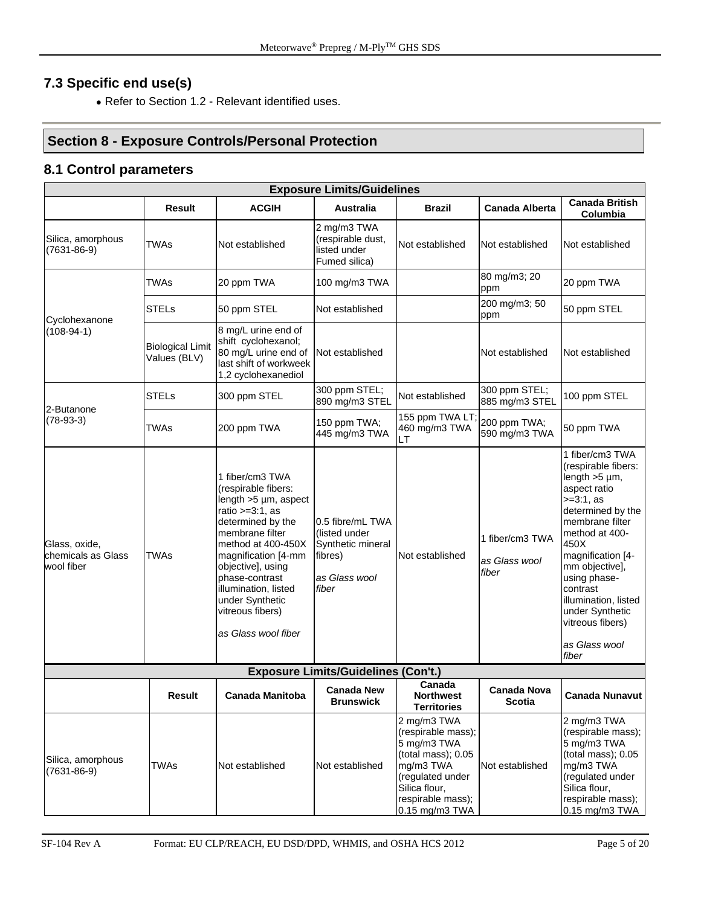# **7.3 Specific end use(s)**

• Refer to Section 1.2 - Relevant identified uses.

# **Section 8 - Exposure Controls/Personal Protection**

#### **8.1 Control parameters**

|                                                   |                                         |                                                                                                                                                                                                                                                                                                              | <b>Exposure Limits/Guidelines</b>                                                           |                                                                                                                                                                      |                                           |                                                                                                                                                                                                                                                                                                                            |
|---------------------------------------------------|-----------------------------------------|--------------------------------------------------------------------------------------------------------------------------------------------------------------------------------------------------------------------------------------------------------------------------------------------------------------|---------------------------------------------------------------------------------------------|----------------------------------------------------------------------------------------------------------------------------------------------------------------------|-------------------------------------------|----------------------------------------------------------------------------------------------------------------------------------------------------------------------------------------------------------------------------------------------------------------------------------------------------------------------------|
|                                                   | <b>Result</b>                           | <b>ACGIH</b>                                                                                                                                                                                                                                                                                                 | <b>Australia</b>                                                                            | <b>Brazil</b>                                                                                                                                                        | <b>Canada Alberta</b>                     | <b>Canada British</b><br>Columbia                                                                                                                                                                                                                                                                                          |
| Silica, amorphous<br>$(7631 - 86 - 9)$            | <b>TWAs</b>                             | Not established                                                                                                                                                                                                                                                                                              | 2 mg/m3 TWA<br>(respirable dust,<br>listed under<br>Fumed silica)                           | Not established                                                                                                                                                      | Not established                           | Not established                                                                                                                                                                                                                                                                                                            |
|                                                   | <b>TWAs</b>                             | 20 ppm TWA                                                                                                                                                                                                                                                                                                   | 100 mg/m3 TWA                                                                               |                                                                                                                                                                      | 80 mg/m3; 20<br>ppm                       | 20 ppm TWA                                                                                                                                                                                                                                                                                                                 |
| Cyclohexanone                                     | <b>STELs</b>                            | 50 ppm STEL                                                                                                                                                                                                                                                                                                  | Not established                                                                             |                                                                                                                                                                      | 200 mg/m3; 50<br>ppm                      | 50 ppm STEL                                                                                                                                                                                                                                                                                                                |
| $(108-94-1)$                                      | <b>Biological Limit</b><br>Values (BLV) | 8 mg/L urine end of<br>shift cyclohexanol;<br>80 mg/L urine end of<br>last shift of workweek<br>1,2 cyclohexanediol                                                                                                                                                                                          | Not established                                                                             |                                                                                                                                                                      | Not established                           | Not established                                                                                                                                                                                                                                                                                                            |
| 2-Butanone                                        | <b>STELs</b>                            | 300 ppm STEL                                                                                                                                                                                                                                                                                                 | 300 ppm STEL;<br>890 mg/m3 STEL                                                             | Not established                                                                                                                                                      | 300 ppm STEL;<br>885 mg/m3 STEL           | 100 ppm STEL                                                                                                                                                                                                                                                                                                               |
| $(78-93-3)$                                       | <b>TWAs</b>                             | 200 ppm TWA                                                                                                                                                                                                                                                                                                  | 150 ppm TWA;<br>445 mg/m3 TWA                                                               | 155 ppm TWA LT;<br>460 mg/m3 TWA<br>LT                                                                                                                               | 200 ppm TWA;<br>590 mg/m3 TWA             | 50 ppm TWA                                                                                                                                                                                                                                                                                                                 |
| Glass, oxide,<br>chemicals as Glass<br>wool fiber | <b>TWAs</b>                             | 1 fiber/cm3 TWA<br>(respirable fibers:<br>length $>5 \mu m$ , aspect<br>ratio $>=3:1$ , as<br>determined by the<br>membrane filter<br>method at 400-450X<br>magnification [4-mm<br>objective], using<br>phase-contrast<br>illumination, listed<br>under Synthetic<br>vitreous fibers)<br>as Glass wool fiber | 0.5 fibre/mL TWA<br>(listed under<br>Synthetic mineral<br>fibres)<br>as Glass wool<br>fiber | Not established                                                                                                                                                      | 1 fiber/cm3 TWA<br>as Glass wool<br>fiber | 1 fiber/cm3 TWA<br>(respirable fibers:<br>length $>5 \mu m$ ,<br>aspect ratio<br>$>=3:1, as$<br>determined by the<br>membrane filter<br>method at 400-<br>450X<br>magnification [4-<br>mm objective],<br>using phase-<br>contrast<br>illumination, listed<br>under Synthetic<br>vitreous fibers)<br>as Glass wool<br>fiber |
|                                                   |                                         |                                                                                                                                                                                                                                                                                                              | <b>Exposure Limits/Guidelines (Con't.)</b>                                                  |                                                                                                                                                                      |                                           |                                                                                                                                                                                                                                                                                                                            |
|                                                   | Result                                  | Canada Manitoba                                                                                                                                                                                                                                                                                              | <b>Canada New</b><br><b>Brunswick</b>                                                       | Canada<br><b>Northwest</b><br><b>Territories</b>                                                                                                                     | Canada Nova<br><b>Scotia</b>              | <b>Canada Nunavut</b>                                                                                                                                                                                                                                                                                                      |
| Silica, amorphous<br>$(7631 - 86 - 9)$            | <b>TWAs</b>                             | Not established                                                                                                                                                                                                                                                                                              | Not established                                                                             | 2 mg/m3 TWA<br>(respirable mass);<br>5 mg/m3 TWA<br>(total mass); 0.05<br>mg/m3 TWA<br>(regulated under<br>Silica flour,<br>respirable mass);<br>$0.15$ mg/m $3$ TWA | Not established                           | 2 mg/m3 TWA<br>(respirable mass);<br>5 mg/m3 TWA<br>(total mass); 0.05<br>mg/m3 TWA<br>(regulated under<br>Silica flour,<br>respirable mass);<br>$0.15$ mg/m $3$ TWA                                                                                                                                                       |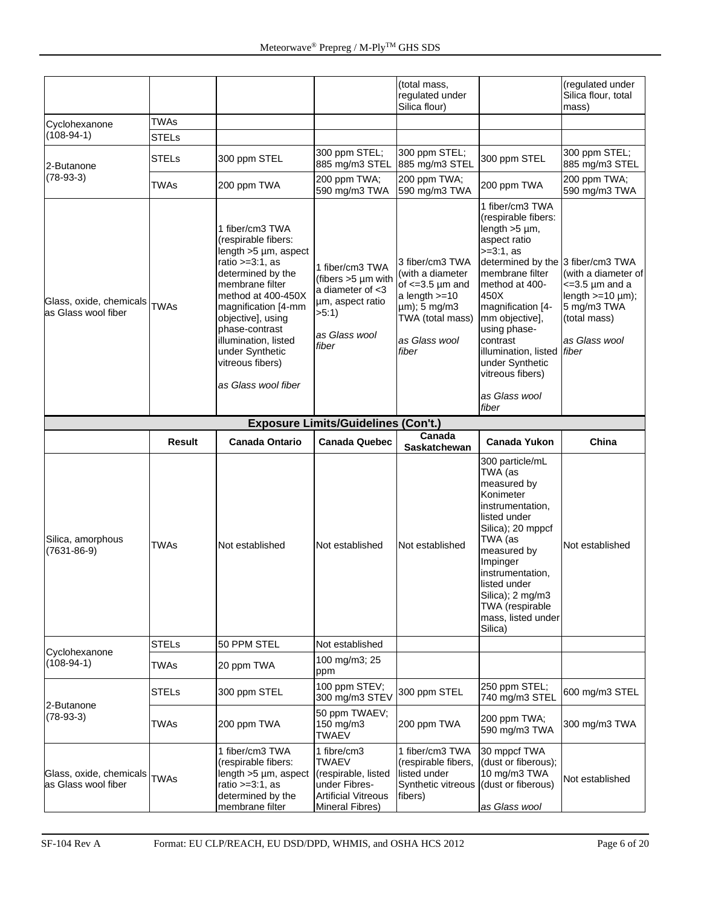|                                                     |               |                                                                                                                                                                                                                                                                                                        |                                                                                                                 | (total mass,<br>regulated under<br>Silica flour)                                                                                              |                                                                                                                                                                                                                                                                                                                  | (regulated under<br>Silica flour, total<br>mass)                                                                                  |
|-----------------------------------------------------|---------------|--------------------------------------------------------------------------------------------------------------------------------------------------------------------------------------------------------------------------------------------------------------------------------------------------------|-----------------------------------------------------------------------------------------------------------------|-----------------------------------------------------------------------------------------------------------------------------------------------|------------------------------------------------------------------------------------------------------------------------------------------------------------------------------------------------------------------------------------------------------------------------------------------------------------------|-----------------------------------------------------------------------------------------------------------------------------------|
| Cyclohexanone                                       | TWAs          |                                                                                                                                                                                                                                                                                                        |                                                                                                                 |                                                                                                                                               |                                                                                                                                                                                                                                                                                                                  |                                                                                                                                   |
| $(108-94-1)$                                        | <b>STELs</b>  |                                                                                                                                                                                                                                                                                                        |                                                                                                                 |                                                                                                                                               |                                                                                                                                                                                                                                                                                                                  |                                                                                                                                   |
| 2-Butanone                                          | <b>STELs</b>  | 300 ppm STEL                                                                                                                                                                                                                                                                                           | 300 ppm STEL;<br>885 mg/m3 STEL                                                                                 | 300 ppm STEL;<br>885 mg/m3 STEL                                                                                                               | 300 ppm STEL                                                                                                                                                                                                                                                                                                     | 300 ppm STEL;<br>885 mg/m3 STEL                                                                                                   |
| $(78-93-3)$                                         | TWAs          | 200 ppm TWA                                                                                                                                                                                                                                                                                            | 200 ppm TWA;<br>590 mg/m3 TWA                                                                                   | 200 ppm TWA;<br>590 mg/m3 TWA                                                                                                                 | 200 ppm TWA                                                                                                                                                                                                                                                                                                      | 200 ppm TWA;<br>590 mg/m3 TWA                                                                                                     |
| Glass, oxide, chemicals<br>as Glass wool fiber      | <b>TWAs</b>   | 1 fiber/cm3 TWA<br>(respirable fibers:<br>length >5 µm, aspect<br>ratio $>=3:1$ , as<br>determined by the<br>membrane filter<br>method at 400-450X<br>magnification [4-mm<br>objective], using<br>phase-contrast<br>illumination, listed<br>under Synthetic<br>vitreous fibers)<br>as Glass wool fiber | 1 fiber/cm3 TWA<br>(fibers >5 µm with<br>a diameter of <3<br>µm, aspect ratio<br>>5:1<br>as Glass wool<br>fiber | 3 fiber/cm3 TWA<br>(with a diameter<br>of $\leq$ =3.5 µm and<br>a length $>=10$<br>µm); 5 mg/m3<br>TWA (total mass)<br>as Glass wool<br>fiber | 1 fiber/cm3 TWA<br>(respirable fibers:<br>length $>5 \mu m$ ,<br>aspect ratio<br>$>=3:1, as$<br>determined by the 3 fiber/cm3 TWA<br>membrane filter<br>method at 400-<br>450X<br>magnification [4-<br>mm objective],<br>using phase-<br>contrast<br>illumination, listed<br>under Synthetic<br>vitreous fibers) | (with a diameter of<br>$\epsilon$ =3.5 µm and a<br>length $>=10 \mu m$ ;<br>5 mg/m3 TWA<br>(total mass)<br>as Glass wool<br>fiber |
|                                                     |               |                                                                                                                                                                                                                                                                                                        |                                                                                                                 |                                                                                                                                               | as Glass wool<br>fiber                                                                                                                                                                                                                                                                                           |                                                                                                                                   |
|                                                     |               |                                                                                                                                                                                                                                                                                                        | <b>Exposure Limits/Guidelines (Con't.)</b>                                                                      |                                                                                                                                               |                                                                                                                                                                                                                                                                                                                  |                                                                                                                                   |
|                                                     | <b>Result</b> | <b>Canada Ontario</b>                                                                                                                                                                                                                                                                                  | <b>Canada Quebec</b>                                                                                            | Canada<br>Saskatchewan                                                                                                                        | <b>Canada Yukon</b>                                                                                                                                                                                                                                                                                              | China                                                                                                                             |
| Silica, amorphous<br>$(7631 - 86 - 9)$              | <b>TWAs</b>   | Not established                                                                                                                                                                                                                                                                                        | Not established                                                                                                 | Not established                                                                                                                               | 300 particle/mL<br>TWA (as<br>measured by<br>Konimeter<br>instrumentation,<br>listed under<br>Silica); 20 mppcf<br>TWA (as<br>measured by<br>Impinger<br>instrumentation,<br>listed under<br>Silica); 2 mg/m3<br>TWA (respirable<br>mass, listed under<br>Silica)                                                | Not established                                                                                                                   |
| Cyclohexanone                                       | <b>STELs</b>  | 50 PPM STEL                                                                                                                                                                                                                                                                                            | Not established                                                                                                 |                                                                                                                                               |                                                                                                                                                                                                                                                                                                                  |                                                                                                                                   |
| $(108-94-1)$                                        | <b>TWAs</b>   | 20 ppm TWA                                                                                                                                                                                                                                                                                             | 100 mg/m3; 25<br>ppm                                                                                            |                                                                                                                                               |                                                                                                                                                                                                                                                                                                                  |                                                                                                                                   |
| 2-Butanone                                          | <b>STELs</b>  | 300 ppm STEL                                                                                                                                                                                                                                                                                           | 100 ppm STEV;<br>300 mg/m3 STEV                                                                                 | 300 ppm STEL                                                                                                                                  | 250 ppm STEL;<br>740 mg/m3 STEL                                                                                                                                                                                                                                                                                  | 600 mg/m3 STEL                                                                                                                    |
| $(78-93-3)$                                         | <b>TWAs</b>   | 200 ppm TWA                                                                                                                                                                                                                                                                                            | 50 ppm TWAEV;<br>150 mg/m3<br><b>TWAEV</b>                                                                      | 200 ppm TWA                                                                                                                                   | 200 ppm TWA;<br>590 mg/m3 TWA                                                                                                                                                                                                                                                                                    | 300 mg/m3 TWA                                                                                                                     |
| Glass, oxide, chemicals TWAs<br>as Glass wool fiber |               | 1 fiber/cm3 TWA<br>(respirable fibers:<br>length >5 µm, aspect<br>ratio $>=3:1$ , as<br>determined by the<br>membrane filter                                                                                                                                                                           | 1 fibre/cm3<br>TWAEV<br>(respirable, listed<br>under Fibres-<br><b>Artificial Vitreous</b><br>Mineral Fibres)   | 1 fiber/cm3 TWA<br>(respirable fibers,<br>listed under<br>Synthetic vitreous<br>fibers)                                                       | 30 mppcf TWA<br>(dust or fiberous);<br>10 mg/m3 TWA<br>(dust or fiberous)<br>as Glass wool                                                                                                                                                                                                                       | Not established                                                                                                                   |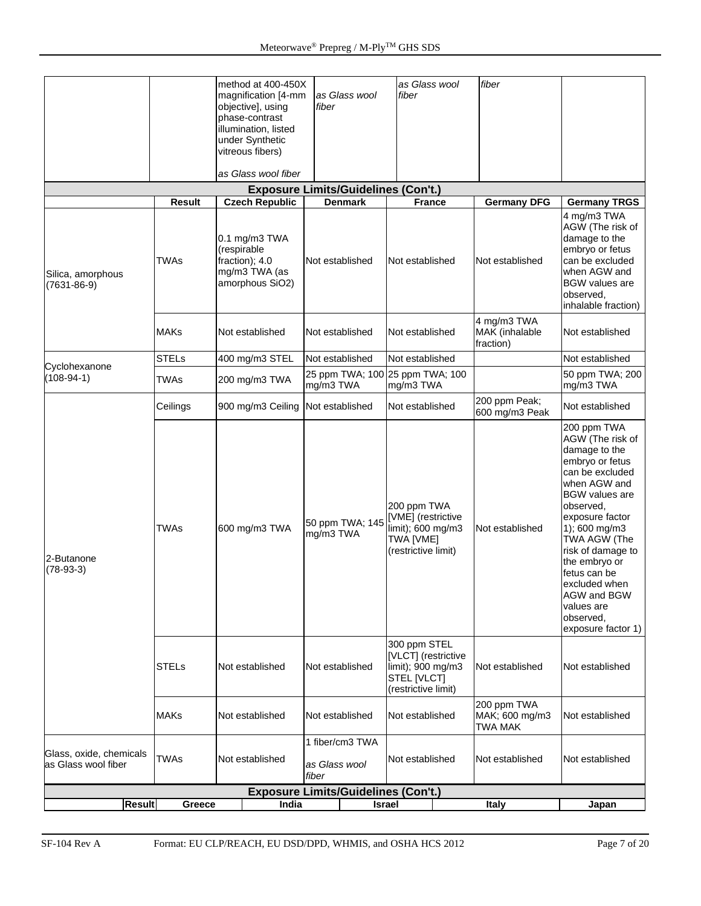|                                                |               | method at 400-450X                                                                 |                                              | as Glass wool                                                                                  | fiber                                           |                                                                                                                                                                                                                                                                                                                                         |
|------------------------------------------------|---------------|------------------------------------------------------------------------------------|----------------------------------------------|------------------------------------------------------------------------------------------------|-------------------------------------------------|-----------------------------------------------------------------------------------------------------------------------------------------------------------------------------------------------------------------------------------------------------------------------------------------------------------------------------------------|
|                                                |               | magnification [4-mm<br>objective], using                                           | as Glass wool<br>fiber                       | fiber                                                                                          |                                                 |                                                                                                                                                                                                                                                                                                                                         |
|                                                |               | phase-contrast<br>illumination, listed                                             |                                              |                                                                                                |                                                 |                                                                                                                                                                                                                                                                                                                                         |
|                                                |               | under Synthetic<br>vitreous fibers)                                                |                                              |                                                                                                |                                                 |                                                                                                                                                                                                                                                                                                                                         |
|                                                |               | as Glass wool fiber                                                                |                                              |                                                                                                |                                                 |                                                                                                                                                                                                                                                                                                                                         |
|                                                |               |                                                                                    | <b>Exposure Limits/Guidelines (Con't.)</b>   |                                                                                                |                                                 |                                                                                                                                                                                                                                                                                                                                         |
|                                                | <b>Result</b> | <b>Czech Republic</b>                                                              | <b>Denmark</b>                               | <b>France</b>                                                                                  | <b>Germany DFG</b>                              | <b>Germany TRGS</b>                                                                                                                                                                                                                                                                                                                     |
| Silica, amorphous<br>$(7631 - 86 - 9)$         | <b>TWAs</b>   | 0.1 mg/m3 TWA<br>(respirable<br>fraction); 4.0<br>mg/m3 TWA (as<br>amorphous SiO2) | Not established                              | Not established                                                                                | Not established                                 | 4 mg/m3 TWA<br>AGW (The risk of<br>damage to the<br>embryo or fetus<br>can be excluded<br>when AGW and<br><b>BGW</b> values are<br>observed,<br>inhalable fraction)                                                                                                                                                                     |
|                                                | <b>MAKs</b>   | Not established                                                                    | Not established                              | Not established                                                                                | 4 mg/m3 TWA<br>MAK (inhalable<br>fraction)      | Not established                                                                                                                                                                                                                                                                                                                         |
| Cyclohexanone                                  | <b>STELs</b>  | 400 mg/m3 STEL                                                                     | Not established                              | Not established                                                                                |                                                 | Not established                                                                                                                                                                                                                                                                                                                         |
| $(108-94-1)$                                   | TWAs          | 200 mg/m3 TWA                                                                      | 25 ppm TWA; 100 25 ppm TWA; 100<br>mg/m3 TWA | mg/m3 TWA                                                                                      |                                                 | 50 ppm TWA; 200<br>mg/m3 TWA                                                                                                                                                                                                                                                                                                            |
|                                                | Ceilings      | 900 mg/m3 Ceiling                                                                  | Not established                              | Not established                                                                                | 200 ppm Peak;<br>600 mg/m3 Peak                 | Not established                                                                                                                                                                                                                                                                                                                         |
| 2-Butanone<br>$(78-93-3)$                      | <b>TWAs</b>   | 600 mg/m3 TWA                                                                      | 50 ppm TWA; 145<br>mg/m3 TWA                 | 200 ppm TWA<br>[VME] (restrictive<br>limit); 600 mg/m3<br>TWA [VME]<br>(restrictive limit)     | Not established                                 | 200 ppm TWA<br>AGW (The risk of<br>damage to the<br>embryo or fetus<br>can be excluded<br>when AGW and<br><b>BGW</b> values are<br>observed,<br>exposure factor<br>1); 600 mg/m3<br>TWA AGW (The<br>risk of damage to<br>the embryo or<br>fetus can be<br>excluded when<br>AGW and BGW<br>values are<br>observed,<br>exposure factor 1) |
|                                                | <b>STELs</b>  | Not established                                                                    | Not established                              | 300 ppm STEL<br>[VLCT] (restrictive<br>limit); 900 mg/m3<br>STEL [VLCT]<br>(restrictive limit) | Not established                                 | Not established                                                                                                                                                                                                                                                                                                                         |
|                                                | <b>MAKs</b>   | Not established                                                                    | Not established                              | Not established                                                                                | 200 ppm TWA<br>MAK; 600 mg/m3<br><b>TWA MAK</b> | Not established                                                                                                                                                                                                                                                                                                                         |
| Glass, oxide, chemicals<br>as Glass wool fiber | <b>TWAs</b>   | Not established                                                                    | 1 fiber/cm3 TWA<br>as Glass wool<br>fiber    | Not established                                                                                | Not established                                 | Not established                                                                                                                                                                                                                                                                                                                         |
|                                                |               |                                                                                    | <b>Exposure Limits/Guidelines (Con't.)</b>   |                                                                                                |                                                 |                                                                                                                                                                                                                                                                                                                                         |
| <b>Result</b>                                  | Greece        | India                                                                              |                                              | <b>Israel</b>                                                                                  | <b>Italy</b>                                    | Japan                                                                                                                                                                                                                                                                                                                                   |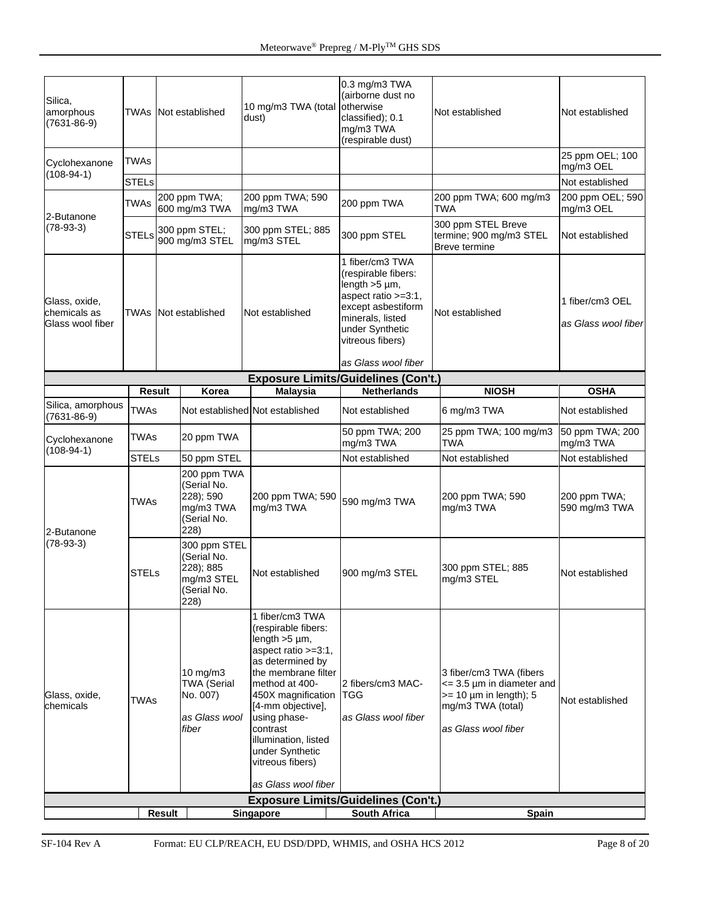| Silica,<br>amorphous<br>$(7631 - 86 - 9)$         |               |        | <b>TWAs</b> Not established                                                   | 10 mg/m3 TWA (total<br>dust)                                                                                                                                                                                                                                                                                  | 0.3 mg/m3 TWA<br>(airborne dust no<br>otherwise<br>classified); 0.1<br>mg/m3 TWA<br>(respirable dust)                                                                                        | Not established                                                                                                                           | Not established                        |
|---------------------------------------------------|---------------|--------|-------------------------------------------------------------------------------|---------------------------------------------------------------------------------------------------------------------------------------------------------------------------------------------------------------------------------------------------------------------------------------------------------------|----------------------------------------------------------------------------------------------------------------------------------------------------------------------------------------------|-------------------------------------------------------------------------------------------------------------------------------------------|----------------------------------------|
| Cyclohexanone                                     | TWAs          |        |                                                                               |                                                                                                                                                                                                                                                                                                               |                                                                                                                                                                                              |                                                                                                                                           | 25 ppm OEL; 100<br>mg/m3 OEL           |
| $(108-94-1)$                                      | <b>STELs</b>  |        |                                                                               |                                                                                                                                                                                                                                                                                                               |                                                                                                                                                                                              |                                                                                                                                           | Not established                        |
| 2-Butanone                                        | <b>TWAs</b>   |        | 200 ppm TWA;<br>600 mg/m3 TWA                                                 | 200 ppm TWA; 590<br>mg/m3 TWA                                                                                                                                                                                                                                                                                 | 200 ppm TWA                                                                                                                                                                                  | 200 ppm TWA; 600 mg/m3<br>TWA                                                                                                             | 200 ppm OEL; 590<br>mg/m3 OEL          |
| $(78-93-3)$                                       | <b>STELs</b>  |        | 300 ppm STEL;<br>900 mg/m3 STEL                                               | 300 ppm STEL; 885<br>mg/m3 STEL                                                                                                                                                                                                                                                                               | 300 ppm STEL                                                                                                                                                                                 | 300 ppm STEL Breve<br>termine; 900 mg/m3 STEL<br>Breve termine                                                                            | Not established                        |
| Glass, oxide,<br>chemicals as<br>Glass wool fiber |               |        | <b>TWAs Not established</b>                                                   | Not established                                                                                                                                                                                                                                                                                               | 1 fiber/cm3 TWA<br>(respirable fibers:<br>length $>5 \mu m$ ,<br>aspect ratio >=3:1,<br>except asbestiform<br>minerals, listed<br>under Synthetic<br>vitreous fibers)<br>as Glass wool fiber | Not established                                                                                                                           | 1 fiber/cm3 OEL<br>as Glass wool fiber |
|                                                   |               |        |                                                                               |                                                                                                                                                                                                                                                                                                               | <b>Exposure Limits/Guidelines (Con't.)</b>                                                                                                                                                   |                                                                                                                                           |                                        |
|                                                   | <b>Result</b> |        | Korea                                                                         | <b>Malaysia</b>                                                                                                                                                                                                                                                                                               | <b>Netherlands</b>                                                                                                                                                                           | <b>NIOSH</b>                                                                                                                              | <b>OSHA</b>                            |
| Silica, amorphous<br>$(7631 - 86 - 9)$            | <b>TWAs</b>   |        |                                                                               | Not established Not established                                                                                                                                                                                                                                                                               | Not established                                                                                                                                                                              | 6 mg/m3 TWA                                                                                                                               | Not established                        |
| Cyclohexanone<br>$(108-94-1)$                     | <b>TWAs</b>   |        | 20 ppm TWA                                                                    |                                                                                                                                                                                                                                                                                                               | 50 ppm TWA; 200<br>mg/m3 TWA                                                                                                                                                                 | 25 ppm TWA; 100 mg/m3<br><b>TWA</b>                                                                                                       | 50 ppm TWA; 200<br>mg/m3 TWA           |
|                                                   | <b>STELs</b>  |        | 50 ppm STEL                                                                   |                                                                                                                                                                                                                                                                                                               | Not established                                                                                                                                                                              | Not established                                                                                                                           | Not established                        |
| 2-Butanone                                        | <b>TWAs</b>   |        | 200 ppm TWA<br>(Serial No.<br>228); 590<br>mg/m3 TWA<br>(Serial No.<br>228)   | 200 ppm TWA; 590<br>mg/m3 TWA                                                                                                                                                                                                                                                                                 | 590 mg/m3 TWA                                                                                                                                                                                | 200 ppm TWA; 590<br>mg/m3 TWA                                                                                                             | 200 ppm TWA;<br>590 mg/m3 TWA          |
| $(78-93-3)$                                       | <b>STELs</b>  |        | 300 ppm STEL<br>(Serial No.<br>228); 885<br>mg/m3 STEL<br>(Serial No.<br>228) | Not established                                                                                                                                                                                                                                                                                               | 900 mg/m3 STEL                                                                                                                                                                               | 300 ppm STEL; 885<br>mg/m3 STEL                                                                                                           | Not established                        |
| Glass, oxide,<br>chemicals                        | <b>TWAs</b>   |        | 10 mg/m3<br><b>TWA (Serial</b><br>No. 007)<br>as Glass wool<br>fiber          | 1 fiber/cm3 TWA<br>(respirable fibers:<br>length $>5 \mu$ m,<br>aspect ratio >=3:1,<br>as determined by<br>the membrane filter<br>method at 400-<br>450X magnification<br>[4-mm objective],<br>using phase-<br>contrast<br>illumination, listed<br>under Synthetic<br>vitreous fibers)<br>as Glass wool fiber | 2 fibers/cm3 MAC-<br><b>ITGG</b><br>as Glass wool fiber                                                                                                                                      | 3 fiber/cm3 TWA (fibers<br>$\epsilon$ = 3.5 µm in diameter and<br>$>= 10 \mu m$ in length); 5<br>mg/m3 TWA (total)<br>as Glass wool fiber | Not established                        |
|                                                   |               |        |                                                                               |                                                                                                                                                                                                                                                                                                               | <b>Exposure Limits/Guidelines (Con't.)</b>                                                                                                                                                   |                                                                                                                                           |                                        |
|                                                   |               | Result |                                                                               | Singapore                                                                                                                                                                                                                                                                                                     | <b>South Africa</b>                                                                                                                                                                          | Spain                                                                                                                                     |                                        |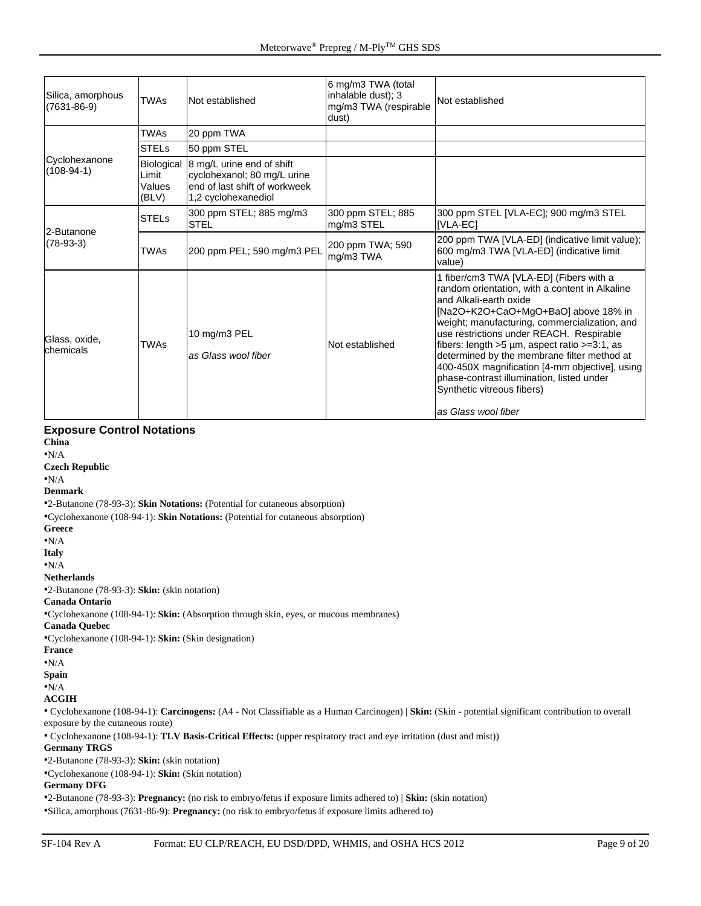| Silica, amorphous<br>$(7631 - 86 - 9)$ | <b>TWAs</b>                            | Not established                                                                                                   | 6 mg/m3 TWA (total<br>inhalable dust); 3<br>mg/m3 TWA (respirable<br>dust) | Not established                                                                                                                                                                                                                                                                                                                                                                                                                                                                                                     |
|----------------------------------------|----------------------------------------|-------------------------------------------------------------------------------------------------------------------|----------------------------------------------------------------------------|---------------------------------------------------------------------------------------------------------------------------------------------------------------------------------------------------------------------------------------------------------------------------------------------------------------------------------------------------------------------------------------------------------------------------------------------------------------------------------------------------------------------|
|                                        | <b>TWAs</b>                            | 20 ppm TWA                                                                                                        |                                                                            |                                                                                                                                                                                                                                                                                                                                                                                                                                                                                                                     |
|                                        | <b>STELs</b>                           | 50 ppm STEL                                                                                                       |                                                                            |                                                                                                                                                                                                                                                                                                                                                                                                                                                                                                                     |
| Cyclohexanone<br>$(108-94-1)$          | Biological<br>Limit<br>Values<br>(BLV) | 8 mg/L urine end of shift<br>cyclohexanol; 80 mg/L urine<br>lend of last shift of workweek<br>1,2 cyclohexanediol |                                                                            |                                                                                                                                                                                                                                                                                                                                                                                                                                                                                                                     |
| 2-Butanone                             | <b>STELs</b>                           | 300 ppm STEL; 885 mg/m3<br><b>STEL</b>                                                                            | 300 ppm STEL; 885<br>mg/m3 STEL                                            | 300 ppm STEL [VLA-EC]; 900 mg/m3 STEL<br>[VLA-EC]                                                                                                                                                                                                                                                                                                                                                                                                                                                                   |
| $(78-93-3)$                            | <b>TWAs</b>                            | 200 ppm PEL; 590 mg/m3 PEL                                                                                        | 200 ppm TWA; 590<br>mg/m3 TWA                                              | 200 ppm TWA [VLA-ED] (indicative limit value);<br>600 mg/m3 TWA [VLA-ED] (indicative limit<br>value)                                                                                                                                                                                                                                                                                                                                                                                                                |
| Glass, oxide,<br>chemicals             | <b>TWAs</b>                            | 10 mg/m3 PEL<br>as Glass wool fiber                                                                               | Not established                                                            | 1 fiber/cm3 TWA [VLA-ED] (Fibers with a<br>random orientation, with a content in Alkaline<br>and Alkali-earth oxide<br>[Na2O+K2O+CaO+MgO+BaO] above 18% in<br>weight; manufacturing, commercialization, and<br>use restrictions under REACH. Respirable<br>fibers: length $>5 \mu m$ , aspect ratio $>=3:1$ , as<br>determined by the membrane filter method at<br>400-450X magnification [4-mm objective], using<br>phase-contrast illumination, listed under<br>Synthetic vitreous fibers)<br>as Glass wool fiber |

#### **Exposure Control Notations**

**China**

•N/A

**Czech Republic** •N/A

**Denmark**

•2-Butanone (78-93-3): **Skin Notations:** (Potential for cutaneous absorption)

•Cyclohexanone (108-94-1): **Skin Notations:** (Potential for cutaneous absorption) **Greece**

•N/A

**Italy**

•N/A

**Netherlands**

•2-Butanone (78-93-3): **Skin:** (skin notation)

**Canada Ontario**

•Cyclohexanone (108-94-1): **Skin:** (Absorption through skin, eyes, or mucous membranes)

**Canada Quebec** •Cyclohexanone (108-94-1): **Skin:** (Skin designation)

**France**

•N/A

**Spain**

 $\bullet{\bf N}/\mathbf{A}$ 

**ACGIH**

• Cyclohexanone (108-94-1): **Carcinogens:** (A4 - Not Classifiable as a Human Carcinogen) | **Skin:** (Skin - potential significant contribution to overall exposure by the cutaneous route)

• Cyclohexanone (108-94-1): **TLV Basis-Critical Effects:** (upper respiratory tract and eye irritation (dust and mist))

**Germany TRGS**

•2-Butanone (78-93-3): **Skin:** (skin notation)

•Cyclohexanone (108-94-1): **Skin:** (Skin notation)

#### **Germany DFG**

•2-Butanone (78-93-3): **Pregnancy:** (no risk to embryo/fetus if exposure limits adhered to) | **Skin:** (skin notation) •Silica, amorphous (7631-86-9): **Pregnancy:** (no risk to embryo/fetus if exposure limits adhered to)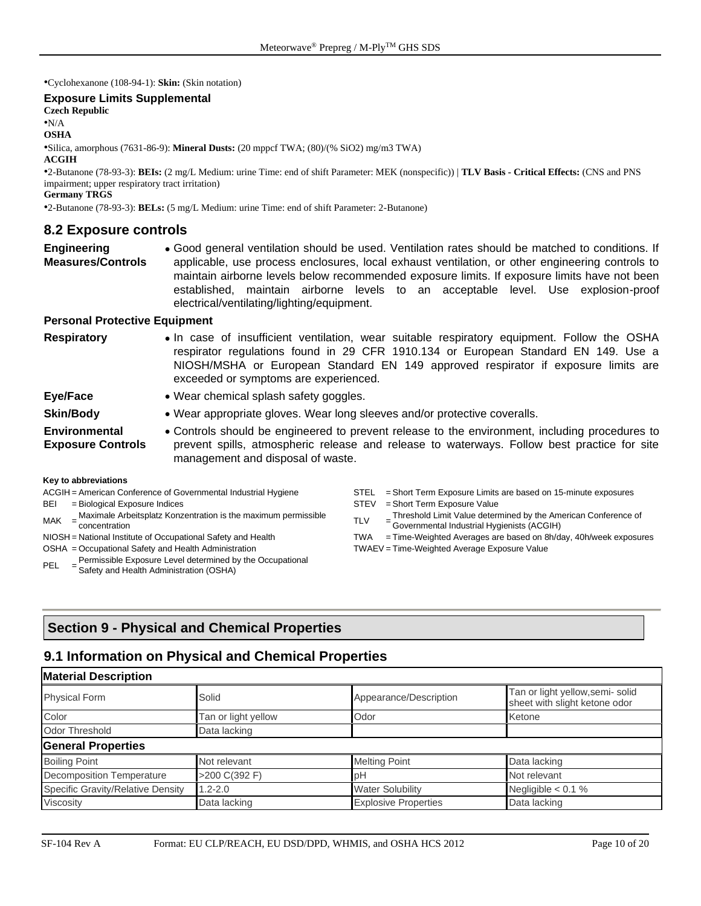•Cyclohexanone (108-94-1): **Skin:** (Skin notation)

#### **Exposure Limits Supplemental**

**Czech Republic**

•N/A

**OSHA**

•Silica, amorphous (7631-86-9): **Mineral Dusts:** (20 mppcf TWA; (80)/(% SiO2) mg/m3 TWA)

#### **ACGIH**

•2-Butanone (78-93-3): **BEIs:** (2 mg/L Medium: urine Time: end of shift Parameter: MEK (nonspecific)) | **TLV Basis - Critical Effects:** (CNS and PNS impairment; upper respiratory tract irritation)

**Germany TRGS**

•2-Butanone (78-93-3): **BELs:** (5 mg/L Medium: urine Time: end of shift Parameter: 2-Butanone)

#### **8.2 Exposure controls**

**Engineering Measures/Controls** • Good general ventilation should be used. Ventilation rates should be matched to conditions. If applicable, use process enclosures, local exhaust ventilation, or other engineering controls to maintain airborne levels below recommended exposure limits. If exposure limits have not been established, maintain airborne levels to an acceptable level. Use explosion-proof electrical/ventilating/lighting/equipment.

#### **Personal Protective Equipment**

| <b>Respiratory</b>                                                                                                                                                                                                                                                                     | exceeded or symptoms are experienced.                                     | • In case of insufficient ventilation, wear suitable respiratory equipment. Follow the OSHA<br>respirator regulations found in 29 CFR 1910.134 or European Standard EN 149. Use a<br>NIOSH/MSHA or European Standard EN 149 approved respirator if exposure limits are |  |  |  |  |
|----------------------------------------------------------------------------------------------------------------------------------------------------------------------------------------------------------------------------------------------------------------------------------------|---------------------------------------------------------------------------|------------------------------------------------------------------------------------------------------------------------------------------------------------------------------------------------------------------------------------------------------------------------|--|--|--|--|
| Eye/Face                                                                                                                                                                                                                                                                               | • Wear chemical splash safety goggles.                                    |                                                                                                                                                                                                                                                                        |  |  |  |  |
| <b>Skin/Body</b>                                                                                                                                                                                                                                                                       | • Wear appropriate gloves. Wear long sleeves and/or protective coveralls. |                                                                                                                                                                                                                                                                        |  |  |  |  |
| <b>Environmental</b><br>• Controls should be engineered to prevent release to the environment, including procedures to<br>prevent spills, atmospheric release and release to waterways. Follow best practice for site<br><b>Exposure Controls</b><br>management and disposal of waste. |                                                                           |                                                                                                                                                                                                                                                                        |  |  |  |  |
| Key to abbreviations                                                                                                                                                                                                                                                                   |                                                                           |                                                                                                                                                                                                                                                                        |  |  |  |  |
|                                                                                                                                                                                                                                                                                        | ACGIH = American Conference of Governmental Industrial Hygiene            | = Short Term Exposure Limits are based on 15-minute exposures<br><b>STEL</b>                                                                                                                                                                                           |  |  |  |  |
| BEI<br>= Biological Exposure Indices                                                                                                                                                                                                                                                   |                                                                           | = Short Term Exposure Value<br><b>STEV</b>                                                                                                                                                                                                                             |  |  |  |  |
|                                                                                                                                                                                                                                                                                        | Maximale Arbeitsplatz Konzentration is the maximum permissible            | Threshold Limit Value determined by the American Conference of                                                                                                                                                                                                         |  |  |  |  |

- $MAK$ Maximale Arbeitsplatz Konzentration is the maximum permissible = Maximale Arbeitsplatz Konzentration is the maximum permissible<br>
concentration
- 
- 
- PFL Permissible Exposure Level determined by the Occupational Safety and Health Administration (OSHA)
- Threshold Limit Value determined by the American Conference of Governmental Industrial Hygienists (ACGIH)
- NIOSH = National Institute of Occupational Safety and Health TWA = Time-Weighted Averages are based on 8h/day, 40h/week exposures OSHA = Occupational Safety and Health Administration TWAEV = Time-Weighted Average Exposure Value

# **Section 9 - Physical and Chemical Properties**

#### **9.1 Information on Physical and Chemical Properties**

| <b>Material Description</b>       |                     |                             |                                                                  |  |  |  |
|-----------------------------------|---------------------|-----------------------------|------------------------------------------------------------------|--|--|--|
| <b>Physical Form</b>              | Solid               | Appearance/Description      | Tan or light yellow,semi- solid<br>sheet with slight ketone odor |  |  |  |
| Color                             | Tan or light yellow | Odor                        | Ketone                                                           |  |  |  |
| <b>Odor Threshold</b>             | Data lacking        |                             |                                                                  |  |  |  |
| <b>General Properties</b>         |                     |                             |                                                                  |  |  |  |
| <b>Boiling Point</b>              | Not relevant        | <b>Melting Point</b>        | Data lacking                                                     |  |  |  |
| <b>Decomposition Temperature</b>  | >200 C(392 F)       | рH                          | Not relevant                                                     |  |  |  |
| Specific Gravity/Relative Density | $1.2 - 2.0$         | <b>Water Solubility</b>     | Negligible $< 0.1 %$                                             |  |  |  |
| Viscosity                         | Data lacking        | <b>Explosive Properties</b> | Data lacking                                                     |  |  |  |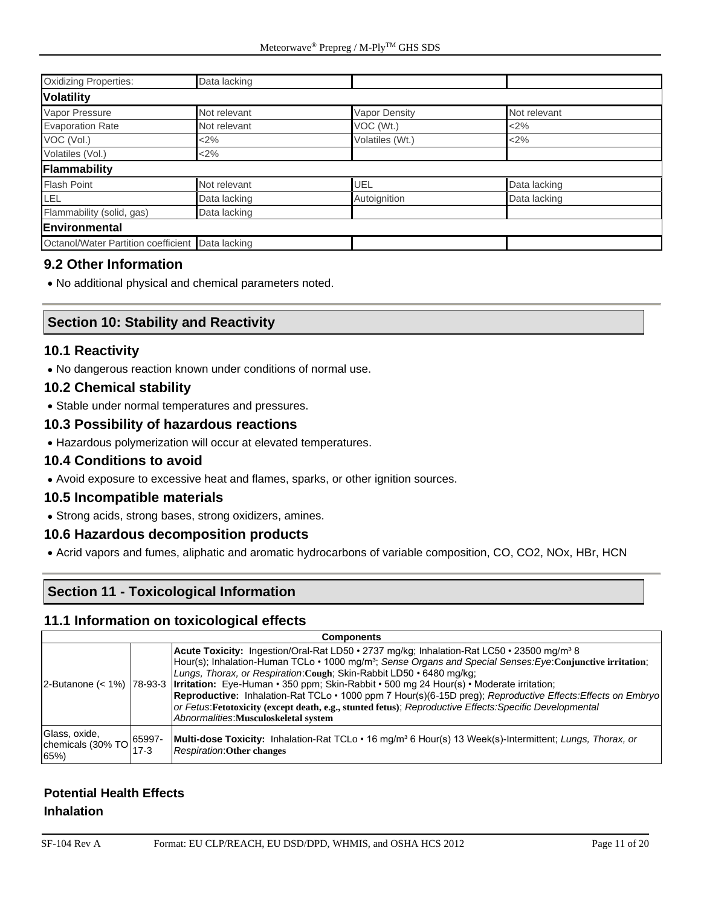| <b>Oxidizing Properties:</b>        | Data lacking |                      |              |  |
|-------------------------------------|--------------|----------------------|--------------|--|
| <b>Volatility</b>                   |              |                      |              |  |
| Vapor Pressure                      | Not relevant | <b>Vapor Density</b> | Not relevant |  |
| <b>Evaporation Rate</b>             | Not relevant | VOC (Wt.)            | $<$ 2%       |  |
| VOC (Vol.)                          | <2%          | Volatiles (Wt.)      | $2\%$        |  |
| Volatiles (Vol.)                    | $<$ 2%       |                      |              |  |
| Flammability                        |              |                      |              |  |
| <b>Flash Point</b>                  | Not relevant | UEL                  | Data lacking |  |
| LEL.                                | Data lacking | Autoignition         | Data lacking |  |
| Flammability (solid, gas)           | Data lacking |                      |              |  |
| Environmental                       |              |                      |              |  |
| Octanol/Water Partition coefficient | Data lacking |                      |              |  |

#### **9.2 Other Information**

• No additional physical and chemical parameters noted.

#### **Section 10: Stability and Reactivity**

#### **10.1 Reactivity**

• No dangerous reaction known under conditions of normal use.

#### **10.2 Chemical stability**

• Stable under normal temperatures and pressures.

#### **10.3 Possibility of hazardous reactions**

• Hazardous polymerization will occur at elevated temperatures.

#### **10.4 Conditions to avoid**

• Avoid exposure to excessive heat and flames, sparks, or other ignition sources.

#### **10.5 Incompatible materials**

• Strong acids, strong bases, strong oxidizers, amines.

#### **10.6 Hazardous decomposition products**

• Acrid vapors and fumes, aliphatic and aromatic hydrocarbons of variable composition, CO, CO2, NOx, HBr, HCN

#### **Section 11 - Toxicological Information**

#### **11.1 Information on toxicological effects**

| <b>Components</b>                                                                      |      |                                                                                                                                                                                                                                                                                                                                                                                                                                                                                                                                                                                                                                                                                                                    |  |  |
|----------------------------------------------------------------------------------------|------|--------------------------------------------------------------------------------------------------------------------------------------------------------------------------------------------------------------------------------------------------------------------------------------------------------------------------------------------------------------------------------------------------------------------------------------------------------------------------------------------------------------------------------------------------------------------------------------------------------------------------------------------------------------------------------------------------------------------|--|--|
|                                                                                        |      | Acute Toxicity: Ingestion/Oral-Rat LD50 • 2737 mg/kg; Inhalation-Rat LC50 • 23500 mg/m <sup>3</sup> 8<br>Hour(s); Inhalation-Human TCLo $\cdot$ 1000 mg/m <sup>3</sup> ; Sense Organs and Special Senses: Eye: Conjunctive irritation;<br>Lungs, Thorax, or Respiration: Cough: Skin-Rabbit LD50 • 6480 mg/kg;<br>2-Butanone (< 1%)   78-93-3   <b>Irritation:</b> Eye-Human • 350 ppm; Skin-Rabbit • 500 mg 24 Hour(s) • Moderate irritation;<br>Reproductive: Inhalation-Rat TCLo · 1000 ppm 7 Hour(s)(6-15D preg); Reproductive Effects: Effects on Embryo<br>or Fetus: Fetotoxicity (except death, e.g., stunted fetus); Reproductive Effects: Specific Developmental<br>Abnormalities: Musculoskeletal system |  |  |
| Glass, oxide,<br>chemicals (30% TO $\begin{bmatrix} 65997 \\ -2 \end{bmatrix}$<br>65%) | 17-3 | <b>Multi-dose Toxicity:</b> Inhalation-Rat TCLo • 16 mg/m <sup>3</sup> 6 Hour(s) 13 Week(s)-Intermittent; Lungs, Thorax, or<br><b>Respiration: Other changes</b>                                                                                                                                                                                                                                                                                                                                                                                                                                                                                                                                                   |  |  |

#### **Potential Health Effects Inhalation**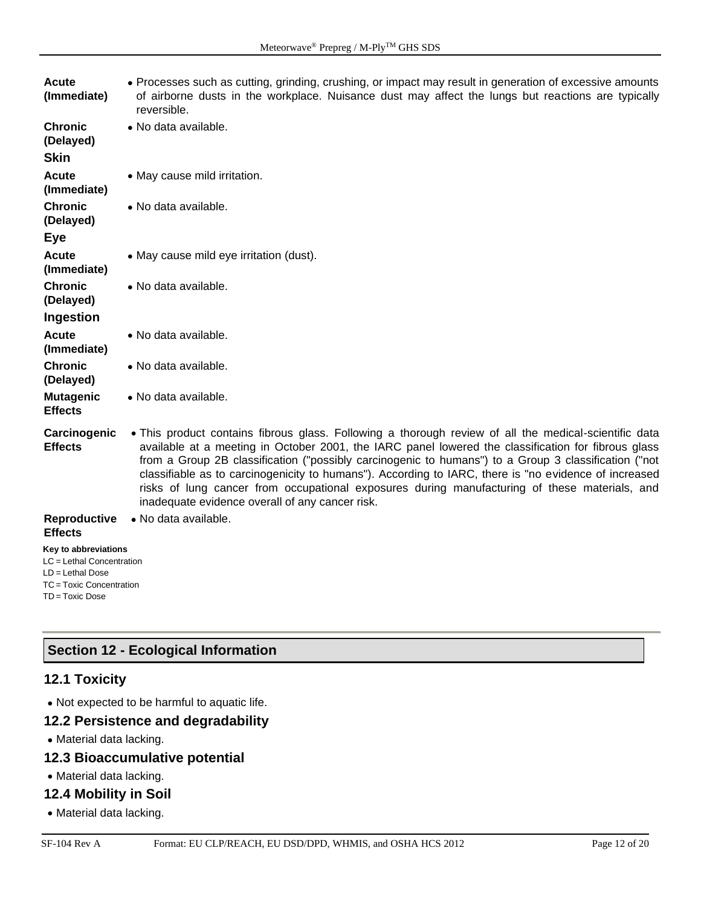| Acute<br>(Immediate)                                                                                                 | • Processes such as cutting, grinding, crushing, or impact may result in generation of excessive amounts<br>of airborne dusts in the workplace. Nuisance dust may affect the lungs but reactions are typically<br>reversible.                                                                                                                                                                                                                                                                                                                                                     |
|----------------------------------------------------------------------------------------------------------------------|-----------------------------------------------------------------------------------------------------------------------------------------------------------------------------------------------------------------------------------------------------------------------------------------------------------------------------------------------------------------------------------------------------------------------------------------------------------------------------------------------------------------------------------------------------------------------------------|
| <b>Chronic</b><br>(Delayed)<br><b>Skin</b>                                                                           | · No data available.                                                                                                                                                                                                                                                                                                                                                                                                                                                                                                                                                              |
| Acute<br>(Immediate)                                                                                                 | • May cause mild irritation.                                                                                                                                                                                                                                                                                                                                                                                                                                                                                                                                                      |
| <b>Chronic</b><br>(Delayed)<br><b>Eye</b>                                                                            | • No data available.                                                                                                                                                                                                                                                                                                                                                                                                                                                                                                                                                              |
| <b>Acute</b><br>(Immediate)                                                                                          | • May cause mild eye irritation (dust).                                                                                                                                                                                                                                                                                                                                                                                                                                                                                                                                           |
| <b>Chronic</b><br>(Delayed)                                                                                          | · No data available.                                                                                                                                                                                                                                                                                                                                                                                                                                                                                                                                                              |
| Ingestion                                                                                                            |                                                                                                                                                                                                                                                                                                                                                                                                                                                                                                                                                                                   |
| <b>Acute</b><br>(Immediate)                                                                                          | • No data available.                                                                                                                                                                                                                                                                                                                                                                                                                                                                                                                                                              |
| <b>Chronic</b><br>(Delayed)                                                                                          | • No data available.                                                                                                                                                                                                                                                                                                                                                                                                                                                                                                                                                              |
| <b>Mutagenic</b><br><b>Effects</b>                                                                                   | • No data available.                                                                                                                                                                                                                                                                                                                                                                                                                                                                                                                                                              |
| Carcinogenic<br><b>Effects</b>                                                                                       | • This product contains fibrous glass. Following a thorough review of all the medical-scientific data<br>available at a meeting in October 2001, the IARC panel lowered the classification for fibrous glass<br>from a Group 2B classification ("possibly carcinogenic to humans") to a Group 3 classification ("not<br>classifiable as to carcinogenicity to humans"). According to IARC, there is "no evidence of increased<br>risks of lung cancer from occupational exposures during manufacturing of these materials, and<br>inadequate evidence overall of any cancer risk. |
| Reproductive<br><b>Effects</b>                                                                                       | · No data available.                                                                                                                                                                                                                                                                                                                                                                                                                                                                                                                                                              |
| Key to abbreviations<br>LC = Lethal Concentration<br>LD = Lethal Dose<br>TC = Toxic Concentration<br>TD = Toxic Dose |                                                                                                                                                                                                                                                                                                                                                                                                                                                                                                                                                                                   |

# **Section 12 - Ecological Information**

### **12.1 Toxicity**

• Not expected to be harmful to aquatic life.

# **12.2 Persistence and degradability**

• Material data lacking.

# **12.3 Bioaccumulative potential**

• Material data lacking.

#### **12.4 Mobility in Soil**

• Material data lacking.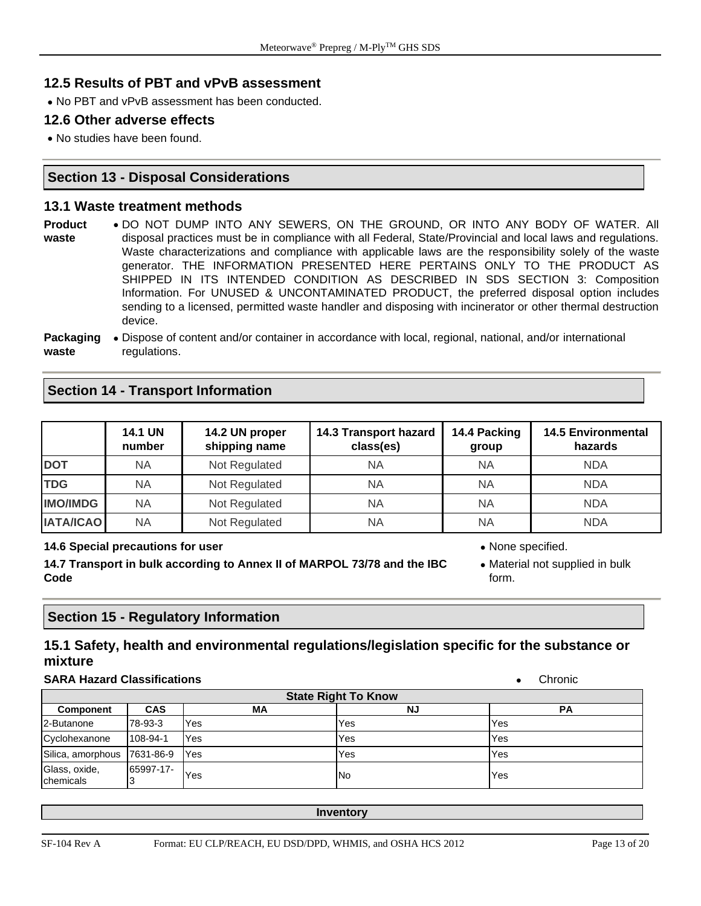#### **12.5 Results of PBT and vPvB assessment**

• No PBT and vPvB assessment has been conducted.

#### **12.6 Other adverse effects**

• No studies have been found.

#### **Section 13 - Disposal Considerations**

#### **13.1 Waste treatment methods**

**Product waste** • DO NOT DUMP INTO ANY SEWERS, ON THE GROUND, OR INTO ANY BODY OF WATER. All disposal practices must be in compliance with all Federal, State/Provincial and local laws and regulations. Waste characterizations and compliance with applicable laws are the responsibility solely of the waste generator. THE INFORMATION PRESENTED HERE PERTAINS ONLY TO THE PRODUCT AS SHIPPED IN ITS INTENDED CONDITION AS DESCRIBED IN SDS SECTION 3: Composition Information. For UNUSED & UNCONTAMINATED PRODUCT, the preferred disposal option includes sending to a licensed, permitted waste handler and disposing with incinerator or other thermal destruction device.

**Packaging**  • Dispose of content and/or container in accordance with local, regional, national, and/or international **waste** regulations.

#### **Section 14 - Transport Information**

|                  | <b>14.1 UN</b><br>number | 14.2 UN proper<br>shipping name | 14.3 Transport hazard<br>class(es) | 14.4 Packing<br>group | <b>14.5 Environmental</b><br>hazards |
|------------------|--------------------------|---------------------------------|------------------------------------|-----------------------|--------------------------------------|
| <b>DOT</b>       | ΝA                       | Not Regulated                   | NA                                 | ΝA                    | <b>NDA</b>                           |
| <b>TDG</b>       | ΝA                       | Not Regulated                   | ΝA                                 | <b>NA</b>             | <b>NDA</b>                           |
| <b>IMO/IMDG</b>  | NA                       | Not Regulated                   | ΝA                                 | ΝA                    | <b>NDA</b>                           |
| <b>IATA/ICAO</b> | ΝA                       | Not Regulated                   | ΝA                                 | <b>NA</b>             | <b>NDA</b>                           |

#### **14.6 Special precautions for user** • None specified.

**14.7 Transport in bulk according to Annex II of MARPOL 73/78 and the IBC Code**

• Material not supplied in bulk form.

# **Section 15 - Regulatory Information**

# **15.1 Safety, health and environmental regulations/legislation specific for the substance or mixture**

#### **SARA Hazard Classifications** • Chronic

| <b>State Right To Know</b>  |            |            |           |     |  |  |
|-----------------------------|------------|------------|-----------|-----|--|--|
| <b>Component</b>            | <b>CAS</b> | МA         | ΝJ        | РA  |  |  |
| 2-Butanone                  | 78-93-3    | Yes        | Yes       | Yes |  |  |
| Cyclohexanone               | 108-94-1   | Yes        | Yes       | Yes |  |  |
| Silica, amorphous 7631-86-9 |            | <b>Yes</b> | Yes       | Yes |  |  |
| Glass, oxide,<br>chemicals  | 65997-17-  | Yes        | <b>No</b> | Yes |  |  |

**Inventory**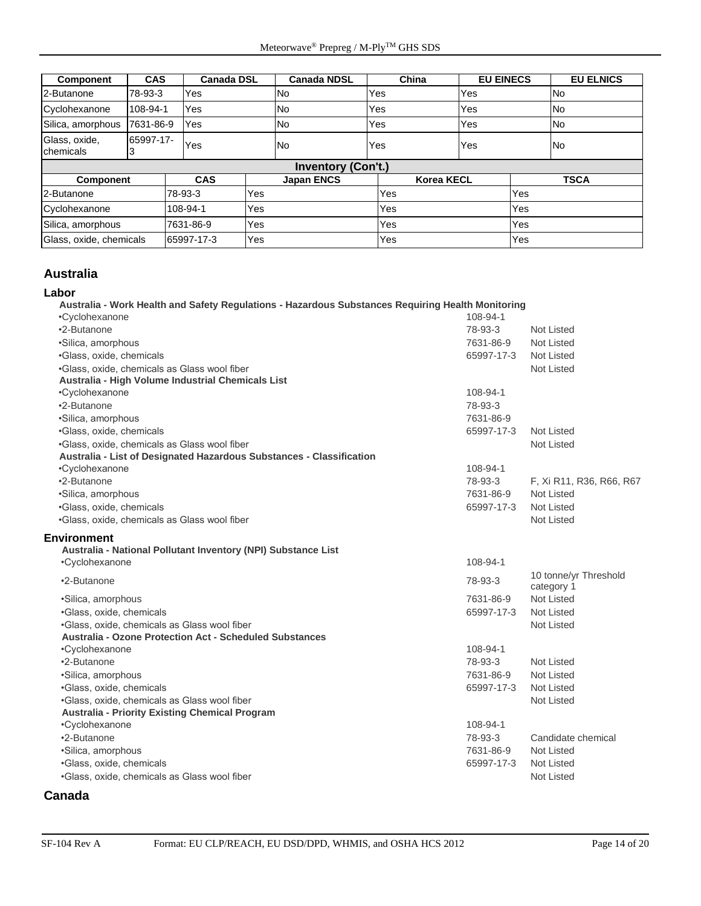| <b>Component</b>           | <b>CAS</b> | <b>Canada DSL</b> |     | <b>Canada NDSL</b>        | China |                   | <b>EU EINECS</b> | <b>EU ELNICS</b> |
|----------------------------|------------|-------------------|-----|---------------------------|-------|-------------------|------------------|------------------|
| 2-Butanone                 | 78-93-3    | Yes               |     | <b>No</b>                 | Yes   | <b>Yes</b>        |                  | <b>No</b>        |
| Cyclohexanone              | 108-94-1   | Yes               |     | <b>No</b>                 | Yes   | Yes               |                  | <b>No</b>        |
| Silica, amorphous          | 7631-86-9  | Yes               |     | <b>No</b>                 | Yes   | <b>Yes</b>        |                  | <b>No</b>        |
| Glass, oxide,<br>chemicals | 65997-17-  | Yes               |     | <b>No</b>                 | Yes   | Yes               |                  | <b>No</b>        |
|                            |            |                   |     | <b>Inventory (Con't.)</b> |       |                   |                  |                  |
| Component                  |            | <b>CAS</b>        |     | <b>Japan ENCS</b>         |       | <b>Korea KECL</b> |                  | <b>TSCA</b>      |
| 2-Butanone                 |            | 78-93-3           | Yes |                           | Yes   |                   | Yes              |                  |
| Cyclohexanone              |            | 108-94-1          | Yes |                           | Yes   |                   | Yes              |                  |
| Silica, amorphous          |            | 7631-86-9         | Yes |                           | Yes   |                   | Yes              |                  |
| Glass, oxide, chemicals    |            | 65997-17-3        | Yes |                           | Yes   |                   | Yes              |                  |

#### **Australia**

#### **Labor**

**Australia - Work Health and Safety Regulations - Hazardous Substances Requiring Health Monitoring** •Cyclohexanone 108-94-1 •2-Butanone 78-93-3 Not Listed •Silica, amorphous 7631-86-9 Not Listed •Glass, oxide, chemicals 65997-17-3 Not Listed •Glass, oxide, chemicals as Glass wool fiber Not Listed Not Listed Not Listed **Australia - High Volume Industrial Chemicals List** •Cyclohexanone 108-94-1 •2-Butanone 78-93-3 •Silica, amorphous 7631-86-9

| •Silica, amorphous                                                   | 7631-86-9  |                                     |
|----------------------------------------------------------------------|------------|-------------------------------------|
| •Glass, oxide, chemicals                                             | 65997-17-3 | Not Listed                          |
| .Glass, oxide, chemicals as Glass wool fiber                         |            | Not Listed                          |
| Australia - List of Designated Hazardous Substances - Classification |            |                                     |
| •Cyclohexanone                                                       | 108-94-1   |                                     |
| •2-Butanone                                                          | 78-93-3    | F, Xi R11, R36, R66, R67            |
| •Silica, amorphous                                                   | 7631-86-9  | Not Listed                          |
| •Glass, oxide, chemicals                                             | 65997-17-3 | Not Listed                          |
| .Glass, oxide, chemicals as Glass wool fiber                         |            | Not Listed                          |
| Environment                                                          |            |                                     |
| Australia - National Pollutant Inventory (NPI) Substance List        |            |                                     |
| •Cyclohexanone                                                       | 108-94-1   |                                     |
| •2-Butanone                                                          | 78-93-3    | 10 tonne/yr Threshold<br>category 1 |
| •Silica, amorphous                                                   | 7631-86-9  | <b>Not Listed</b>                   |
| •Glass, oxide, chemicals                                             | 65997-17-3 | Not Listed                          |
| •Glass, oxide, chemicals as Glass wool fiber                         |            | <b>Not Listed</b>                   |
| Australia - Ozone Protection Act - Scheduled Substances              |            |                                     |
| •Cyclohexanone                                                       | 108-94-1   |                                     |
| •2-Butanone                                                          | 78-93-3    | Not Listed                          |
| •Silica, amorphous                                                   | 7631-86-9  | <b>Not Listed</b>                   |
| •Glass, oxide, chemicals                                             | 65997-17-3 | Not Listed                          |
| •Glass, oxide, chemicals as Glass wool fiber                         |            | <b>Not Listed</b>                   |
| <b>Australia - Priority Existing Chemical Program</b>                |            |                                     |
| •Cyclohexanone                                                       | 108-94-1   |                                     |
| •2-Butanone                                                          | 78-93-3    | Candidate chemical                  |
| •Silica, amorphous                                                   | 7631-86-9  | Not Listed                          |
| •Glass, oxide, chemicals                                             | 65997-17-3 | <b>Not Listed</b>                   |
| •Glass, oxide, chemicals as Glass wool fiber                         |            | <b>Not Listed</b>                   |
|                                                                      |            |                                     |

#### **Canada**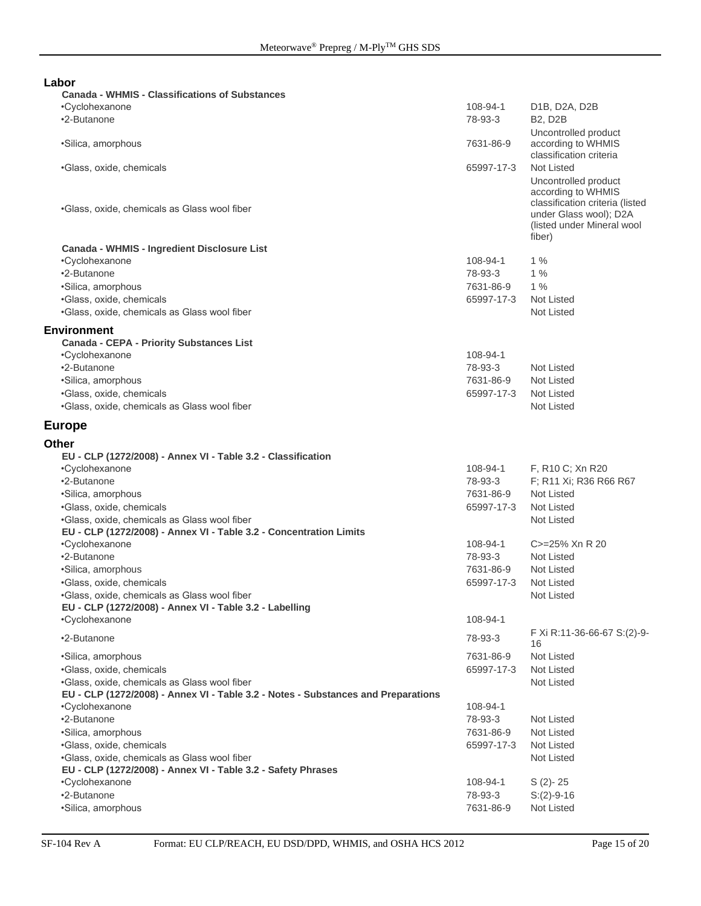| Labor                                                                             |            |                                 |
|-----------------------------------------------------------------------------------|------------|---------------------------------|
| <b>Canada - WHMIS - Classifications of Substances</b>                             |            |                                 |
| •Cyclohexanone                                                                    | 108-94-1   | D1B, D2A, D2B                   |
| •2-Butanone                                                                       | 78-93-3    | <b>B2, D2B</b>                  |
|                                                                                   |            | Uncontrolled product            |
| ·Silica, amorphous                                                                | 7631-86-9  | according to WHMIS              |
|                                                                                   |            | classification criteria         |
| •Glass, oxide, chemicals                                                          | 65997-17-3 | <b>Not Listed</b>               |
|                                                                                   |            | Uncontrolled product            |
|                                                                                   |            | according to WHMIS              |
| .Glass, oxide, chemicals as Glass wool fiber                                      |            | classification criteria (listed |
|                                                                                   |            | under Glass wool); D2A          |
|                                                                                   |            | (listed under Mineral wool      |
|                                                                                   |            | fiber)                          |
| Canada - WHMIS - Ingredient Disclosure List                                       |            |                                 |
| •Cyclohexanone                                                                    | 108-94-1   | 1%                              |
| •2-Butanone                                                                       | 78-93-3    | 1%                              |
| •Silica, amorphous                                                                | 7631-86-9  | $1\%$                           |
| ·Glass, oxide, chemicals                                                          | 65997-17-3 | Not Listed                      |
| .Glass, oxide, chemicals as Glass wool fiber                                      |            | <b>Not Listed</b>               |
|                                                                                   |            |                                 |
| <b>Environment</b>                                                                |            |                                 |
| <b>Canada - CEPA - Priority Substances List</b>                                   |            |                                 |
| •Cyclohexanone                                                                    | 108-94-1   |                                 |
| •2-Butanone                                                                       | 78-93-3    | <b>Not Listed</b>               |
| •Silica, amorphous                                                                | 7631-86-9  | Not Listed                      |
| ·Glass, oxide, chemicals                                                          | 65997-17-3 | Not Listed                      |
| .Glass, oxide, chemicals as Glass wool fiber                                      |            | <b>Not Listed</b>               |
| <b>Europe</b>                                                                     |            |                                 |
|                                                                                   |            |                                 |
| <b>Other</b>                                                                      |            |                                 |
| EU - CLP (1272/2008) - Annex VI - Table 3.2 - Classification                      |            |                                 |
| •Cyclohexanone                                                                    | 108-94-1   | F, R10 C; Xn R20                |
| •2-Butanone                                                                       | 78-93-3    | F; R11 Xi; R36 R66 R67          |
| •Silica, amorphous                                                                | 7631-86-9  | Not Listed                      |
| ·Glass, oxide, chemicals                                                          | 65997-17-3 | Not Listed                      |
| .Glass, oxide, chemicals as Glass wool fiber                                      |            | Not Listed                      |
| EU - CLP (1272/2008) - Annex VI - Table 3.2 - Concentration Limits                |            |                                 |
| •Cyclohexanone                                                                    | 108-94-1   | C>=25% Xn R 20                  |
| •2-Butanone                                                                       | 78-93-3    | <b>Not Listed</b>               |
| ·Silica, amorphous                                                                | 7631-86-9  | Not Listed                      |
| •Glass, oxide, chemicals                                                          | 65997-17-3 | <b>Not Listed</b>               |
| .Glass, oxide, chemicals as Glass wool fiber                                      |            | Not Listed                      |
| EU - CLP (1272/2008) - Annex VI - Table 3.2 - Labelling                           |            |                                 |
| •Cyclohexanone                                                                    | 108-94-1   |                                 |
|                                                                                   |            | F Xi R:11-36-66-67 S:(2)-9-     |
| •2-Butanone                                                                       | 78-93-3    | 16                              |
| •Silica, amorphous                                                                | 7631-86-9  | <b>Not Listed</b>               |
| ·Glass, oxide, chemicals                                                          | 65997-17-3 | Not Listed                      |
| .Glass, oxide, chemicals as Glass wool fiber                                      |            | Not Listed                      |
| EU - CLP (1272/2008) - Annex VI - Table 3.2 - Notes - Substances and Preparations |            |                                 |
| •Cyclohexanone                                                                    | 108-94-1   |                                 |
| •2-Butanone                                                                       | 78-93-3    | Not Listed                      |
| ·Silica, amorphous                                                                | 7631-86-9  | Not Listed                      |
|                                                                                   |            | Not Listed                      |
| ·Glass, oxide, chemicals                                                          | 65997-17-3 |                                 |
| .Glass, oxide, chemicals as Glass wool fiber                                      |            | Not Listed                      |
| EU - CLP (1272/2008) - Annex VI - Table 3.2 - Safety Phrases                      |            |                                 |
| •Cyclohexanone                                                                    | 108-94-1   | $S(2)-25$                       |
| •2-Butanone                                                                       | 78-93-3    | $S:(2)-9-16$                    |
| ·Silica, amorphous                                                                | 7631-86-9  | Not Listed                      |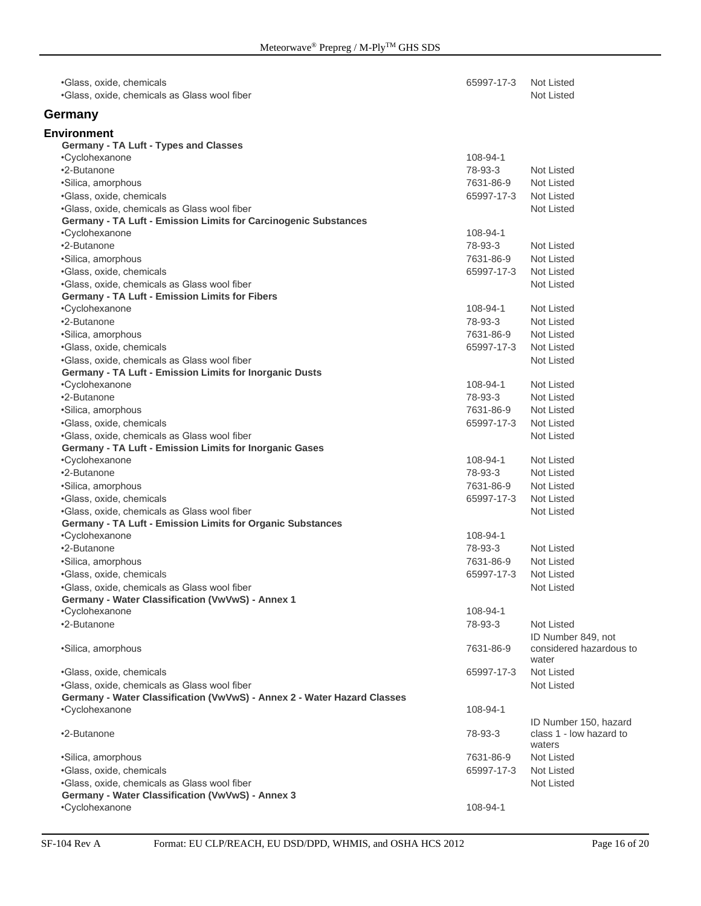| •Glass, oxide, chemicals<br>•Glass, oxide, chemicals as Glass wool fiber | 65997-17-3 | Not Listed<br><b>Not Listed</b>                            |
|--------------------------------------------------------------------------|------------|------------------------------------------------------------|
| Germany                                                                  |            |                                                            |
| Environment                                                              |            |                                                            |
| Germany - TA Luft - Types and Classes                                    |            |                                                            |
| •Cyclohexanone                                                           | 108-94-1   |                                                            |
| •2-Butanone                                                              | 78-93-3    | Not Listed                                                 |
| ·Silica, amorphous                                                       | 7631-86-9  | Not Listed                                                 |
| •Glass, oxide, chemicals                                                 | 65997-17-3 | Not Listed                                                 |
| •Glass, oxide, chemicals as Glass wool fiber                             |            | Not Listed                                                 |
| Germany - TA Luft - Emission Limits for Carcinogenic Substances          |            |                                                            |
| •Cyclohexanone                                                           | 108-94-1   |                                                            |
| •2-Butanone                                                              | 78-93-3    | Not Listed                                                 |
| ·Silica, amorphous                                                       | 7631-86-9  | Not Listed                                                 |
| •Glass, oxide, chemicals                                                 | 65997-17-3 | Not Listed                                                 |
| •Glass, oxide, chemicals as Glass wool fiber                             |            | Not Listed                                                 |
| <b>Germany - TA Luft - Emission Limits for Fibers</b>                    |            |                                                            |
| •Cyclohexanone                                                           | 108-94-1   | <b>Not Listed</b>                                          |
| •2-Butanone                                                              | 78-93-3    | Not Listed                                                 |
| •Silica, amorphous                                                       | 7631-86-9  | Not Listed                                                 |
| ·Glass, oxide, chemicals                                                 | 65997-17-3 | Not Listed                                                 |
| •Glass, oxide, chemicals as Glass wool fiber                             |            | Not Listed                                                 |
| Germany - TA Luft - Emission Limits for Inorganic Dusts                  |            |                                                            |
| •Cyclohexanone                                                           | 108-94-1   | <b>Not Listed</b>                                          |
| •2-Butanone                                                              | 78-93-3    | Not Listed                                                 |
| ·Silica, amorphous                                                       | 7631-86-9  | Not Listed                                                 |
| ·Glass, oxide, chemicals                                                 | 65997-17-3 | Not Listed                                                 |
| •Glass, oxide, chemicals as Glass wool fiber                             |            | Not Listed                                                 |
| Germany - TA Luft - Emission Limits for Inorganic Gases                  |            |                                                            |
| •Cyclohexanone                                                           | 108-94-1   | <b>Not Listed</b>                                          |
| •2-Butanone                                                              | 78-93-3    | Not Listed                                                 |
| •Silica, amorphous                                                       | 7631-86-9  | Not Listed                                                 |
| ·Glass, oxide, chemicals                                                 | 65997-17-3 | Not Listed                                                 |
| •Glass, oxide, chemicals as Glass wool fiber                             |            | Not Listed                                                 |
| Germany - TA Luft - Emission Limits for Organic Substances               |            |                                                            |
| •Cyclohexanone                                                           | 108-94-1   |                                                            |
| •2-Butanone                                                              | 78-93-3    | Not Listed                                                 |
| ·Silica, amorphous                                                       | 7631-86-9  | Not Listed                                                 |
| •Glass, oxide, chemicals                                                 | 65997-17-3 | Not Listed                                                 |
| •Glass, oxide, chemicals as Glass wool fiber                             |            | Not Listed                                                 |
| Germany - Water Classification (VwVwS) - Annex 1                         |            |                                                            |
| •Cyclohexanone                                                           | 108-94-1   |                                                            |
| •2-Butanone                                                              | 78-93-3    | Not Listed                                                 |
|                                                                          |            | ID Number 849, not                                         |
| •Silica, amorphous                                                       | 7631-86-9  | considered hazardous to<br>water                           |
| •Glass, oxide, chemicals                                                 | 65997-17-3 | <b>Not Listed</b>                                          |
| .Glass, oxide, chemicals as Glass wool fiber                             |            | Not Listed                                                 |
| Germany - Water Classification (VwVwS) - Annex 2 - Water Hazard Classes  |            |                                                            |
| •Cyclohexanone                                                           | 108-94-1   |                                                            |
| •2-Butanone                                                              | 78-93-3    | ID Number 150, hazard<br>class 1 - low hazard to<br>waters |
| •Silica, amorphous                                                       | 7631-86-9  | Not Listed                                                 |
| ·Glass, oxide, chemicals                                                 | 65997-17-3 | Not Listed                                                 |
| •Glass, oxide, chemicals as Glass wool fiber                             |            | Not Listed                                                 |
| Germany - Water Classification (VwVwS) - Annex 3                         |            |                                                            |
| •Cyclohexanone                                                           | 108-94-1   |                                                            |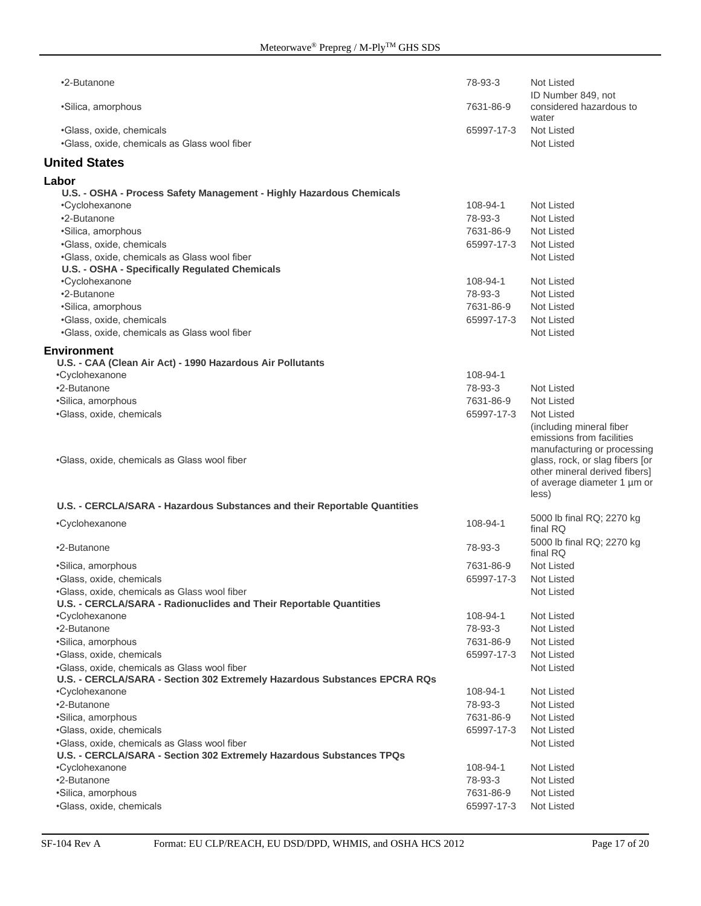| •2-Butanone                                                                                    | 78-93-3             | Not Listed<br>ID Number 849, not                                                                                                                                                                 |
|------------------------------------------------------------------------------------------------|---------------------|--------------------------------------------------------------------------------------------------------------------------------------------------------------------------------------------------|
| •Silica, amorphous                                                                             | 7631-86-9           | considered hazardous to<br>water                                                                                                                                                                 |
| •Glass, oxide, chemicals<br>.Glass, oxide, chemicals as Glass wool fiber                       | 65997-17-3          | Not Listed<br><b>Not Listed</b>                                                                                                                                                                  |
| <b>United States</b>                                                                           |                     |                                                                                                                                                                                                  |
| Labor                                                                                          |                     |                                                                                                                                                                                                  |
| U.S. - OSHA - Process Safety Management - Highly Hazardous Chemicals                           |                     |                                                                                                                                                                                                  |
| •Cyclohexanone                                                                                 | 108-94-1            | Not Listed                                                                                                                                                                                       |
| •2-Butanone                                                                                    | 78-93-3             | Not Listed                                                                                                                                                                                       |
| •Silica, amorphous                                                                             | 7631-86-9           | Not Listed                                                                                                                                                                                       |
| ·Glass, oxide, chemicals                                                                       | 65997-17-3          | Not Listed                                                                                                                                                                                       |
| .Glass, oxide, chemicals as Glass wool fiber<br>U.S. - OSHA - Specifically Regulated Chemicals |                     | Not Listed                                                                                                                                                                                       |
| •Cyclohexanone                                                                                 | 108-94-1            | Not Listed                                                                                                                                                                                       |
| •2-Butanone                                                                                    | 78-93-3             | Not Listed                                                                                                                                                                                       |
| •Silica, amorphous                                                                             | 7631-86-9           | Not Listed                                                                                                                                                                                       |
| ·Glass, oxide, chemicals                                                                       | 65997-17-3          | Not Listed                                                                                                                                                                                       |
| .Glass, oxide, chemicals as Glass wool fiber                                                   |                     | <b>Not Listed</b>                                                                                                                                                                                |
|                                                                                                |                     |                                                                                                                                                                                                  |
| <b>Environment</b>                                                                             |                     |                                                                                                                                                                                                  |
| U.S. - CAA (Clean Air Act) - 1990 Hazardous Air Pollutants                                     |                     |                                                                                                                                                                                                  |
| •Cvclohexanone<br>•2-Butanone                                                                  | 108-94-1<br>78-93-3 | Not Listed                                                                                                                                                                                       |
| •Silica, amorphous                                                                             | 7631-86-9           | <b>Not Listed</b>                                                                                                                                                                                |
| ·Glass, oxide, chemicals                                                                       | 65997-17-3          | <b>Not Listed</b>                                                                                                                                                                                |
| •Glass, oxide, chemicals as Glass wool fiber                                                   |                     | (including mineral fiber<br>emissions from facilities<br>manufacturing or processing<br>glass, rock, or slag fibers [or<br>other mineral derived fibers]<br>of average diameter 1 µm or<br>less) |
| U.S. - CERCLA/SARA - Hazardous Substances and their Reportable Quantities                      |                     |                                                                                                                                                                                                  |
| •Cyclohexanone                                                                                 | 108-94-1            | 5000 lb final RQ; 2270 kg<br>final RQ                                                                                                                                                            |
| •2-Butanone                                                                                    | 78-93-3             | 5000 lb final RQ; 2270 kg<br>final RQ                                                                                                                                                            |
| •Silica, amorphous                                                                             | 7631-86-9           | Not Listed                                                                                                                                                                                       |
| •Glass, oxide, chemicals                                                                       | 65997-17-3          | Not Listed                                                                                                                                                                                       |
| .Glass, oxide, chemicals as Glass wool fiber                                                   |                     | Not Listed                                                                                                                                                                                       |
| U.S. - CERCLA/SARA - Radionuclides and Their Reportable Quantities<br>•Cyclohexanone           | 108-94-1            | Not Listed                                                                                                                                                                                       |
| •2-Butanone                                                                                    | 78-93-3             | Not Listed                                                                                                                                                                                       |
| ·Silica, amorphous                                                                             | 7631-86-9           | Not Listed                                                                                                                                                                                       |
| •Glass, oxide, chemicals                                                                       | 65997-17-3          | Not Listed                                                                                                                                                                                       |
| •Glass, oxide, chemicals as Glass wool fiber                                                   |                     | Not Listed                                                                                                                                                                                       |
| U.S. - CERCLA/SARA - Section 302 Extremely Hazardous Substances EPCRA RQs                      |                     |                                                                                                                                                                                                  |
| •Cyclohexanone                                                                                 | 108-94-1            | Not Listed                                                                                                                                                                                       |
| •2-Butanone                                                                                    | 78-93-3             | Not Listed                                                                                                                                                                                       |
| ·Silica, amorphous                                                                             | 7631-86-9           | Not Listed                                                                                                                                                                                       |
| •Glass, oxide, chemicals                                                                       | 65997-17-3          | Not Listed                                                                                                                                                                                       |
| .Glass, oxide, chemicals as Glass wool fiber                                                   |                     | Not Listed                                                                                                                                                                                       |
| U.S. - CERCLA/SARA - Section 302 Extremely Hazardous Substances TPQs                           |                     |                                                                                                                                                                                                  |
| •Cyclohexanone                                                                                 | 108-94-1            | Not Listed                                                                                                                                                                                       |
| •2-Butanone                                                                                    | 78-93-3             | Not Listed                                                                                                                                                                                       |
| ·Silica, amorphous                                                                             | 7631-86-9           | Not Listed                                                                                                                                                                                       |
| ·Glass, oxide, chemicals                                                                       | 65997-17-3          | Not Listed                                                                                                                                                                                       |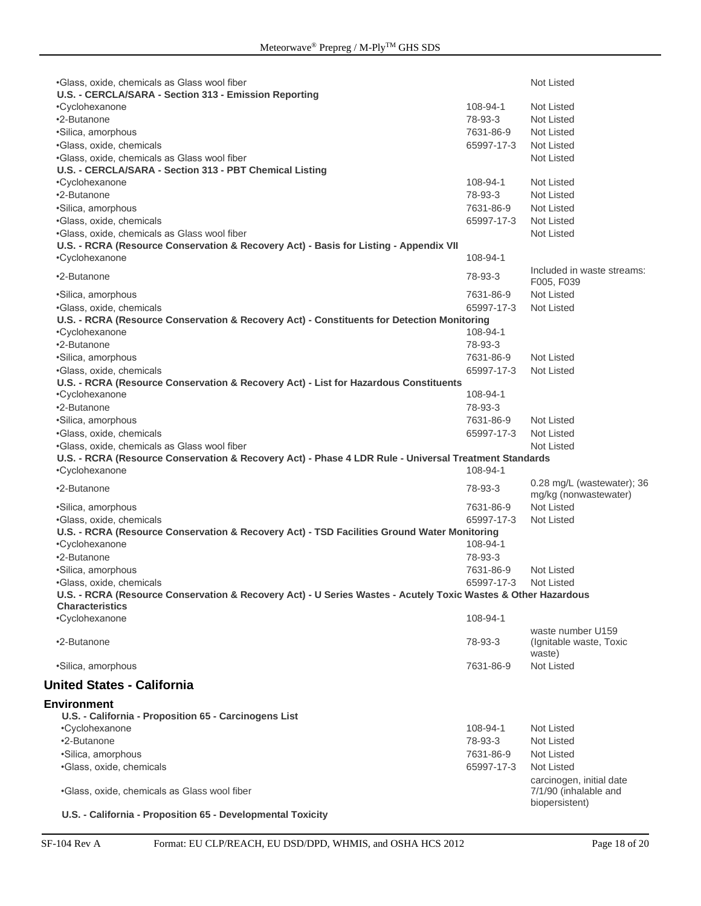| •Glass, oxide, chemicals as Glass wool fiber<br>U.S. - CERCLA/SARA - Section 313 - Emission Reporting                                     |                         | <b>Not Listed</b>                                                   |
|-------------------------------------------------------------------------------------------------------------------------------------------|-------------------------|---------------------------------------------------------------------|
| •Cyclohexanone                                                                                                                            | 108-94-1                | Not Listed                                                          |
| •2-Butanone                                                                                                                               | 78-93-3                 | Not Listed                                                          |
| ·Silica, amorphous                                                                                                                        | 7631-86-9               | Not Listed                                                          |
| •Glass, oxide, chemicals                                                                                                                  | 65997-17-3              | Not Listed                                                          |
| .Glass, oxide, chemicals as Glass wool fiber                                                                                              |                         | Not Listed                                                          |
| U.S. - CERCLA/SARA - Section 313 - PBT Chemical Listing                                                                                   |                         |                                                                     |
| •Cyclohexanone                                                                                                                            | 108-94-1                | Not Listed                                                          |
| •2-Butanone                                                                                                                               | 78-93-3                 | Not Listed                                                          |
| ·Silica, amorphous                                                                                                                        | 7631-86-9               | Not Listed                                                          |
| ·Glass, oxide, chemicals                                                                                                                  | 65997-17-3              | Not Listed                                                          |
| .Glass, oxide, chemicals as Glass wool fiber                                                                                              |                         | Not Listed                                                          |
| U.S. - RCRA (Resource Conservation & Recovery Act) - Basis for Listing - Appendix VII                                                     |                         |                                                                     |
| •Cyclohexanone                                                                                                                            | 108-94-1                |                                                                     |
| •2-Butanone                                                                                                                               | 78-93-3                 | Included in waste streams:<br>F005, F039                            |
| •Silica, amorphous                                                                                                                        | 7631-86-9               | Not Listed                                                          |
| •Glass, oxide, chemicals                                                                                                                  | 65997-17-3              | Not Listed                                                          |
| U.S. - RCRA (Resource Conservation & Recovery Act) - Constituents for Detection Monitoring                                                |                         |                                                                     |
| •Cyclohexanone                                                                                                                            | 108-94-1                |                                                                     |
| •2-Butanone                                                                                                                               | 78-93-3                 |                                                                     |
| •Silica, amorphous                                                                                                                        | 7631-86-9               | <b>Not Listed</b>                                                   |
| ·Glass, oxide, chemicals                                                                                                                  | 65997-17-3              | Not Listed                                                          |
| U.S. - RCRA (Resource Conservation & Recovery Act) - List for Hazardous Constituents                                                      |                         |                                                                     |
| •Cyclohexanone                                                                                                                            | 108-94-1                |                                                                     |
| •2-Butanone                                                                                                                               | 78-93-3                 |                                                                     |
| ·Silica, amorphous                                                                                                                        | 7631-86-9               | Not Listed                                                          |
| •Glass, oxide, chemicals                                                                                                                  | 65997-17-3              | Not Listed                                                          |
| .Glass, oxide, chemicals as Glass wool fiber                                                                                              |                         | Not Listed                                                          |
|                                                                                                                                           |                         |                                                                     |
| U.S. - RCRA (Resource Conservation & Recovery Act) - Phase 4 LDR Rule - Universal Treatment Standards<br>•Cyclohexanone                   | 108-94-1                |                                                                     |
| •2-Butanone                                                                                                                               | 78-93-3                 | 0.28 mg/L (wastewater); 36                                          |
|                                                                                                                                           |                         | mg/kg (nonwastewater)<br>Not Listed                                 |
| ·Silica, amorphous                                                                                                                        | 7631-86-9<br>65997-17-3 | Not Listed                                                          |
| •Glass, oxide, chemicals                                                                                                                  |                         |                                                                     |
| U.S. - RCRA (Resource Conservation & Recovery Act) - TSD Facilities Ground Water Monitoring<br>•Cyclohexanone                             | 108-94-1                |                                                                     |
| •2-Butanone                                                                                                                               | 78-93-3                 |                                                                     |
| •Silica, amorphous                                                                                                                        | 7631-86-9               | Not Listed                                                          |
|                                                                                                                                           |                         | Not Listed                                                          |
| ·Glass, oxide, chemicals<br>U.S. - RCRA (Resource Conservation & Recovery Act) - U Series Wastes - Acutely Toxic Wastes & Other Hazardous | 65997-17-3              |                                                                     |
| <b>Characteristics</b><br>•Cyclohexanone                                                                                                  | 108-94-1                |                                                                     |
| •2-Butanone                                                                                                                               | 78-93-3                 | waste number U159<br>(Ignitable waste, Toxic<br>waste)              |
| •Silica, amorphous                                                                                                                        | 7631-86-9               | <b>Not Listed</b>                                                   |
| <b>United States - California</b>                                                                                                         |                         |                                                                     |
|                                                                                                                                           |                         |                                                                     |
| <b>Environment</b>                                                                                                                        |                         |                                                                     |
| U.S. - California - Proposition 65 - Carcinogens List                                                                                     |                         |                                                                     |
| •Cyclohexanone                                                                                                                            | 108-94-1                | Not Listed                                                          |
| •2-Butanone                                                                                                                               | 78-93-3                 | Not Listed                                                          |
| ·Silica, amorphous                                                                                                                        | 7631-86-9               | Not Listed                                                          |
| ·Glass, oxide, chemicals                                                                                                                  | 65997-17-3              | Not Listed                                                          |
| .Glass, oxide, chemicals as Glass wool fiber                                                                                              |                         | carcinogen, initial date<br>7/1/90 (inhalable and<br>biopersistent) |

**U.S. - California - Proposition 65 - Developmental Toxicity**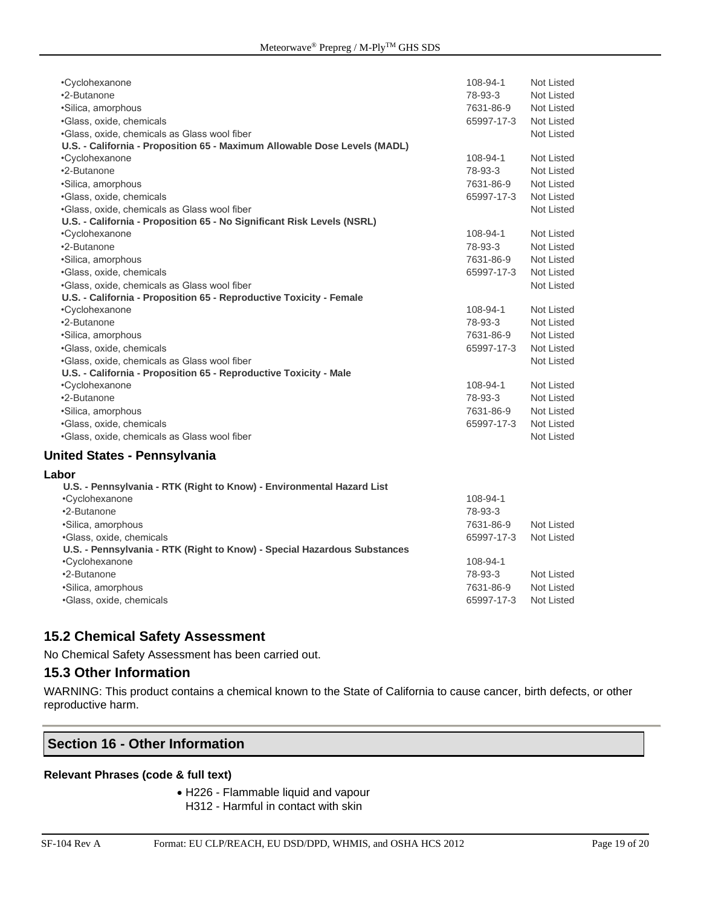| •Cyclohexanone                                                                                                 | 108-94-1   | Not Listed        |
|----------------------------------------------------------------------------------------------------------------|------------|-------------------|
| •2-Butanone                                                                                                    | 78-93-3    | Not Listed        |
| •Silica, amorphous                                                                                             | 7631-86-9  | <b>Not Listed</b> |
| •Glass, oxide, chemicals                                                                                       | 65997-17-3 | <b>Not Listed</b> |
| .Glass, oxide, chemicals as Glass wool fiber                                                                   |            | <b>Not Listed</b> |
| U.S. - California - Proposition 65 - Maximum Allowable Dose Levels (MADL)                                      |            |                   |
| •Cyclohexanone                                                                                                 | 108-94-1   | Not Listed        |
| •2-Butanone                                                                                                    | 78-93-3    | <b>Not Listed</b> |
| •Silica, amorphous                                                                                             | 7631-86-9  | <b>Not Listed</b> |
| ·Glass, oxide, chemicals                                                                                       | 65997-17-3 | Not Listed        |
| .Glass, oxide, chemicals as Glass wool fiber                                                                   |            | Not Listed        |
| U.S. - California - Proposition 65 - No Significant Risk Levels (NSRL)                                         |            |                   |
| •Cyclohexanone                                                                                                 | 108-94-1   | Not Listed        |
| •2-Butanone                                                                                                    | 78-93-3    | Not Listed        |
| •Silica, amorphous                                                                                             | 7631-86-9  | <b>Not Listed</b> |
| •Glass, oxide, chemicals                                                                                       | 65997-17-3 | <b>Not Listed</b> |
| .Glass, oxide, chemicals as Glass wool fiber                                                                   |            | Not Listed        |
| U.S. - California - Proposition 65 - Reproductive Toxicity - Female                                            |            |                   |
| •Cyclohexanone                                                                                                 | 108-94-1   | Not Listed        |
| •2-Butanone                                                                                                    | 78-93-3    | <b>Not Listed</b> |
| •Silica, amorphous                                                                                             | 7631-86-9  | Not Listed        |
| •Glass, oxide, chemicals                                                                                       | 65997-17-3 | Not Listed        |
| .Glass, oxide, chemicals as Glass wool fiber                                                                   |            | <b>Not Listed</b> |
| U.S. - California - Proposition 65 - Reproductive Toxicity - Male                                              |            |                   |
| •Cyclohexanone                                                                                                 | 108-94-1   | Not Listed        |
| •2-Butanone                                                                                                    | 78-93-3    | <b>Not Listed</b> |
| •Silica, amorphous                                                                                             | 7631-86-9  | Not Listed        |
| •Glass, oxide, chemicals                                                                                       | 65997-17-3 | <b>Not Listed</b> |
| .Glass, oxide, chemicals as Glass wool fiber                                                                   |            | Not Listed        |
| United States - Pennsylvania                                                                                   |            |                   |
| Labor                                                                                                          |            |                   |
| Because the costs. In 1982 (1983) that a set of the costs. In the costs of the costs of the costs of the costs |            |                   |

| U.S. - Pennsylvania - RTK (Right to Know) - Environmental Hazard List    |            |            |
|--------------------------------------------------------------------------|------------|------------|
| •Cyclohexanone                                                           | 108-94-1   |            |
| •2-Butanone                                                              | 78-93-3    |            |
| •Silica, amorphous                                                       | 7631-86-9  | Not Listed |
| •Glass, oxide, chemicals                                                 | 65997-17-3 | Not Listed |
| U.S. - Pennsylvania - RTK (Right to Know) - Special Hazardous Substances |            |            |
| •Cyclohexanone                                                           | 108-94-1   |            |
| •2-Butanone                                                              | 78-93-3    | Not Listed |
| •Silica, amorphous                                                       | 7631-86-9  | Not Listed |
| •Glass, oxide, chemicals                                                 | 65997-17-3 | Not Listed |
|                                                                          |            |            |

#### **15.2 Chemical Safety Assessment**

No Chemical Safety Assessment has been carried out.

### **15.3 Other Information**

WARNING: This product contains a chemical known to the State of California to cause cancer, birth defects, or other reproductive harm.

#### **Section 16 - Other Information**

#### **Relevant Phrases (code & full text)**

- H226 Flammable liquid and vapour
	- H312 Harmful in contact with skin